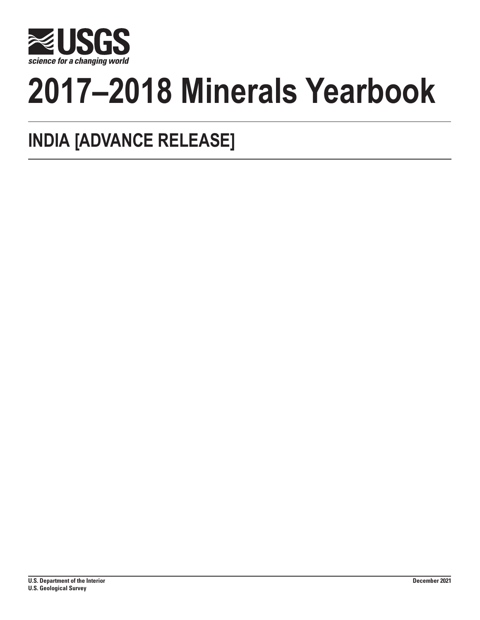

# **2017–2018 Minerals Yearbook**

# **INDIA [ADVANCE RELEASE]**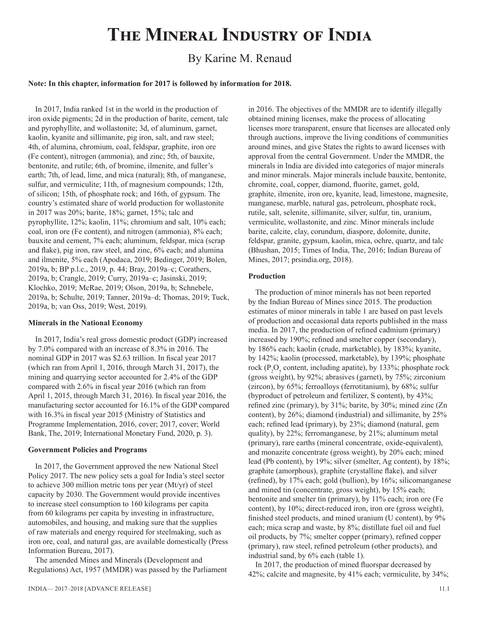## **The Mineral Industry of India**

## By Karine M. Renaud

#### **Note: In this chapter, information for 2017 is followed by information for 2018.**

In 2017, India ranked 1st in the world in the production of iron oxide pigments; 2d in the production of barite, cement, talc and pyrophyllite, and wollastonite; 3d, of aluminum, garnet, kaolin, kyanite and sillimanite, pig iron, salt, and raw steel; 4th, of alumina, chromium, coal, feldspar, graphite, iron ore (Fe content), nitrogen (ammonia), and zinc; 5th, of bauxite, bentonite, and rutile; 6th, of bromine, ilmenite, and fuller's earth; 7th, of lead, lime, and mica (natural); 8th, of manganese, sulfur, and vermiculite; 11th, of magnesium compounds; 12th, of silicon; 15th, of phosphate rock; and 16th, of gypsum. The country's estimated share of world production for wollastonite in 2017 was 20%; barite, 18%; garnet, 15%; talc and pyrophyllite, 12%; kaolin, 11%; chromium and salt, 10% each; coal, iron ore (Fe content), and nitrogen (ammonia), 8% each; bauxite and cement, 7% each; aluminum, feldspar, mica (scrap and flake), pig iron, raw steel, and zinc, 6% each; and alumina and ilmenite, 5% each (Apodaca, 2019; Bedinger, 2019; Bolen, 2019a, b; BP p.l.c., 2019, p. 44; Bray, 2019a–c; Corathers, 2019a, b; Crangle, 2019; Curry, 2019a–c; Jasinski, 2019; Klochko, 2019; McRae, 2019; Olson, 2019a, b; Schnebele, 2019a, b; Schulte, 2019; Tanner, 2019a–d; Thomas, 2019; Tuck, 2019a, b; van Oss, 2019; West, 2019).

#### **Minerals in the National Economy**

In 2017, India's real gross domestic product (GDP) increased by 7.0% compared with an increase of 8.3% in 2016. The nominal GDP in 2017 was \$2.63 trillion. In fiscal year 2017 (which ran from April 1, 2016, through March 31, 2017), the mining and quarrying sector accounted for 2.4% of the GDP compared with 2.6% in fiscal year 2016 (which ran from April 1, 2015, through March 31, 2016). In fiscal year 2016, the manufacturing sector accounted for 16.1% of the GDP compared with 16.3% in fiscal year 2015 (Ministry of Statistics and Programme Implementation, 2016, cover; 2017, cover; World Bank, The, 2019; International Monetary Fund, 2020, p. 3).

#### **Government Policies and Programs**

In 2017, the Government approved the new National Steel Policy 2017. The new policy sets a goal for India's steel sector to achieve 300 million metric tons per year (Mt/yr) of steel capacity by 2030. The Government would provide incentives to increase steel consumption to 160 kilograms per capita from 60 kilograms per capita by investing in infrastructure, automobiles, and housing, and making sure that the supplies of raw materials and energy required for steelmaking, such as iron ore, coal, and natural gas, are available domestically (Press Information Bureau, 2017).

The amended Mines and Minerals (Development and Regulations) Act, 1957 (MMDR) was passed by the Parliament in 2016. The objectives of the MMDR are to identify illegally obtained mining licenses, make the process of allocating licenses more transparent, ensure that licenses are allocated only through auctions, improve the living conditions of communities around mines, and give States the rights to award licenses with approval from the central Government. Under the MMDR, the minerals in India are divided into categories of major minerals and minor minerals. Major minerals include bauxite, bentonite, chromite, coal, copper, diamond, fluorite, garnet, gold, graphite, ilmenite, iron ore, kyanite, lead, limestone, magnesite, manganese, marble, natural gas, petroleum, phosphate rock, rutile, salt, selenite, sillimanite, silver, sulfur, tin, uranium, vermiculite, wollastonite, and zinc. Minor minerals include barite, calcite, clay, corundum, diaspore, dolomite, dunite, feldspar, granite, gypsum, kaolin, mica, ochre, quartz, and talc (Bhushan, 2015; Times of India, The, 2016; Indian Bureau of Mines, 2017; prsindia.org, 2018).

#### **Production**

The production of minor minerals has not been reported by the Indian Bureau of Mines since 2015. The production estimates of minor minerals in table 1 are based on past levels of production and occasional data reports published in the mass media. In 2017, the production of refined cadmium (primary) increased by 190%; refined and smelter copper (secondary), by 186% each; kaolin (crude, marketable), by 183%; kyanite, by 142%; kaolin (processed, marketable), by 139%; phosphate rock ( $P_2O_5$  content, including apatite), by 133%; phosphate rock (gross weight), by 92%; abrasives (garnet), by 75%; zirconium (zircon), by 65%; ferroalloys (ferrotitanium), by 68%; sulfur (byproduct of petroleum and fertilizer, S content), by 43%; refined zinc (primary), by 31%; barite, by 30%; mined zinc (Zn content), by 26%; diamond (industrial) and sillimanite, by 25% each; refined lead (primary), by 23%; diamond (natural, gem quality), by 22%; ferromanganese, by 21%; aluminum metal (primary), rare earths (mineral concentrate, oxide-equivalent), and monazite concentrate (gross weight), by 20% each; mined lead (Pb content), by 19%; silver (smelter, Ag content), by 18%; graphite (amorphous), graphite (crystalline flake), and silver (refined), by 17% each; gold (bullion), by 16%; silicomanganese and mined tin (concentrate, gross weight), by 15% each; bentonite and smelter tin (primary), by 11% each; iron ore (Fe content), by 10%; direct-reduced iron, iron ore (gross weight), finished steel products, and mined uranium (U content), by 9% each; mica scrap and waste, by 8%; distillate fuel oil and fuel oil products, by 7%; smelter copper (primary), refined copper (primary), raw steel, refined petroleum (other products), and industrial sand, by 6% each (table 1).

In 2017, the production of mined fluorspar decreased by 42%; calcite and magnesite, by 41% each; vermiculite, by 34%;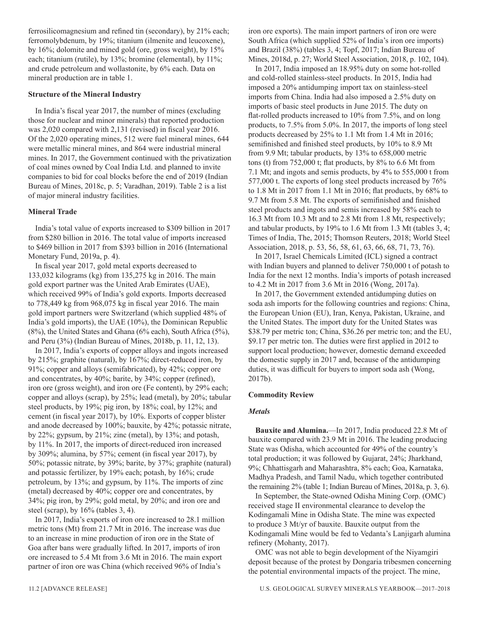ferrosilicomagnesium and refined tin (secondary), by 21% each; ferromolybdenum, by 19%; titanium (ilmenite and leucoxene), by 16%; dolomite and mined gold (ore, gross weight), by 15% each; titanium (rutile), by 13%; bromine (elemental), by 11%; and crude petroleum and wollastonite, by 6% each. Data on mineral production are in table 1.

#### **Structure of the Mineral Industry**

In India's fiscal year 2017, the number of mines (excluding those for nuclear and minor minerals) that reported production was 2,020 compared with 2,131 (revised) in fiscal year 2016. Of the 2,020 operating mines, 512 were fuel mineral mines, 644 were metallic mineral mines, and 864 were industrial mineral mines. In 2017, the Government continued with the privatization of coal mines owned by Coal India Ltd. and planned to invite companies to bid for coal blocks before the end of 2019 (Indian Bureau of Mines, 2018c, p. 5; Varadhan, 2019). Table 2 is a list of major mineral industry facilities.

#### **Mineral Trade**

India's total value of exports increased to \$309 billion in 2017 from \$280 billion in 2016. The total value of imports increased to \$469 billion in 2017 from \$393 billion in 2016 (International Monetary Fund, 2019a, p. 4).

In fiscal year 2017, gold metal exports decreased to 133,032 kilograms (kg) from 135,275 kg in 2016. The main gold export partner was the United Arab Emirates (UAE), which received 99% of India's gold exports. Imports decreased to 778,449 kg from 968,075 kg in fiscal year 2016. The main gold import partners were Switzerland (which supplied 48% of India's gold imports), the UAE (10%), the Dominican Republic (8%), the United States and Ghana (6% each), South Africa (5%), and Peru (3%) (Indian Bureau of Mines, 2018b, p. 11, 12, 13).

In 2017, India's exports of copper alloys and ingots increased by 215%; graphite (natural), by 167%; direct-reduced iron, by 91%; copper and alloys (semifabricated), by 42%; copper ore and concentrates, by 40%; barite, by 34%; copper (refined), iron ore (gross weight), and iron ore (Fe content), by 29% each; copper and alloys (scrap), by 25%; lead (metal), by 20%; tabular steel products, by 19%; pig iron, by 18%; coal, by 12%; and cement (in fiscal year 2017), by 10%. Exports of copper blister and anode decreased by 100%; bauxite, by 42%; potassic nitrate, by 22%; gypsum, by 21%; zinc (metal), by 13%; and potash, by 11%. In 2017, the imports of direct-reduced iron increased by 309%; alumina, by 57%; cement (in fiscal year 2017), by 50%; potassic nitrate, by 39%; barite, by 37%; graphite (natural) and potassic fertilizer, by 19% each; potash, by 16%; crude petroleum, by 13%; and gypsum, by 11%. The imports of zinc (metal) decreased by 40%; copper ore and concentrates, by 34%; pig iron, by 29%; gold metal, by 20%; and iron ore and steel (scrap), by 16% (tables 3, 4).

In 2017, India's exports of iron ore increased to 28.1 million metric tons (Mt) from 21.7 Mt in 2016. The increase was due to an increase in mine production of iron ore in the State of Goa after bans were gradually lifted. In 2017, imports of iron ore increased to 5.4 Mt from 3.6 Mt in 2016. The main export partner of iron ore was China (which received 96% of India's

**Commodity Review**

#### *Metals*

**Bauxite and Alumina.**—In 2017, India produced 22.8 Mt of bauxite compared with 23.9 Mt in 2016. The leading producing State was Odisha, which accounted for 49% of the country's total production; it was followed by Gujarat, 24%; Jharkhand, 9%; Chhattisgarh and Maharashtra, 8% each; Goa, Karnataka, Madhya Pradesh, and Tamil Nadu, which together contributed the remaining 2% (table 1; Indian Bureau of Mines, 2018a, p. 3, 6).

In September, the State-owned Odisha Mining Corp. (OMC) received stage II environmental clearance to develop the Kodingamali Mine in Odisha State. The mine was expected to produce 3 Mt/yr of bauxite. Bauxite output from the Kodingamali Mine would be fed to Vedanta's Lanjigarh alumina refinery (Mohanty, 2017).

OMC was not able to begin development of the Niyamgiri deposit because of the protest by Dongaria tribesmen concerning the potential environmental impacts of the project. The mine,

iron ore exports). The main import partners of iron ore were South Africa (which supplied 52% of India's iron ore imports) and Brazil (38%) (tables 3, 4; Topf, 2017; Indian Bureau of Mines, 2018d, p. 27; World Steel Association, 2018, p. 102, 104).

In 2017, India imposed an 18.95% duty on some hot-rolled and cold-rolled stainless-steel products. In 2015, India had imposed a 20% antidumping import tax on stainless-steel imports from China. India had also imposed a 2.5% duty on imports of basic steel products in June 2015. The duty on flat-rolled products increased to 10% from 7.5%, and on long products, to 7.5% from 5.0%. In 2017, the imports of long steel products decreased by 25% to 1.1 Mt from 1.4 Mt in 2016; semifinished and finished steel products, by 10% to 8.9 Mt from 9.9 Mt; tabular products, by 13% to 658,000 metric tons (t) from 752,000 t; flat products, by 8% to 6.6 Mt from 7.1 Mt; and ingots and semis products, by 4% to 555,000 t from 577,000 t. The exports of long steel products increased by 76% to 1.8 Mt in 2017 from 1.1 Mt in 2016; flat products, by 68% to 9.7 Mt from 5.8 Mt. The exports of semifinished and finished steel products and ingots and semis increased by 58% each to 16.3 Mt from 10.3 Mt and to 2.8 Mt from 1.8 Mt, respectively; and tabular products, by 19% to 1.6 Mt from 1.3 Mt (tables 3, 4; Times of India, The, 2015; Thomson Reuters, 2018; World Steel Association, 2018, p. 53, 56, 58, 61, 63, 66, 68, 71, 73, 76).

In 2017, Israel Chemicals Limited (ICL) signed a contract with Indian buyers and planned to deliver 750,000 t of potash to India for the next 12 months. India's imports of potash increased to 4.2 Mt in 2017 from 3.6 Mt in 2016 (Wong, 2017a).

In 2017, the Government extended antidumping duties on soda ash imports for the following countries and regions: China, the European Union (EU), Iran, Kenya, Pakistan, Ukraine, and the United States. The import duty for the United States was \$38.79 per metric ton; China, \$36.26 per metric ton; and the EU, \$9.17 per metric ton. The duties were first applied in 2012 to support local production; however, domestic demand exceeded the domestic supply in 2017 and, because of the antidumping duties, it was difficult for buyers to import soda ash (Wong, 2017b).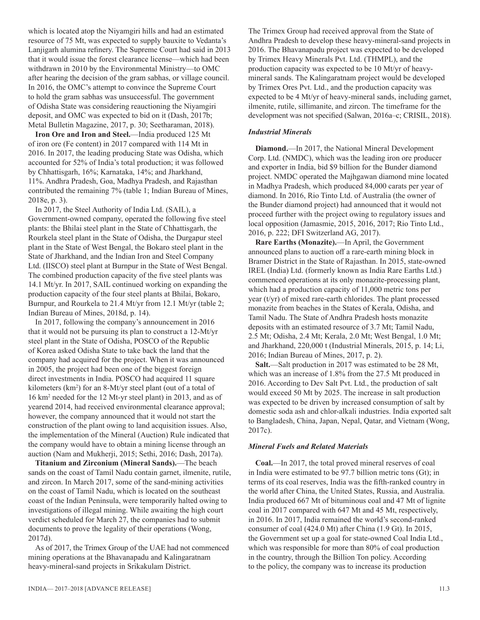which is located atop the Niyamgiri hills and had an estimated resource of 75 Mt, was expected to supply bauxite to Vedanta's Lanjigarh alumina refinery. The Supreme Court had said in 2013 that it would issue the forest clearance license—which had been withdrawn in 2010 by the Environmental Ministry—to OMC after hearing the decision of the gram sabhas, or village council. In 2016, the OMC's attempt to convince the Supreme Court to hold the gram sabhas was unsuccessful. The government of Odisha State was considering reauctioning the Niyamgiri deposit, and OMC was expected to bid on it (Dash, 2017b; Metal Bulletin Magazine, 2017, p. 30; Seetharaman, 2018).

**Iron Ore and Iron and Steel.**—India produced 125 Mt of iron ore (Fe content) in 2017 compared with 114 Mt in 2016. In 2017, the leading producing State was Odisha, which accounted for 52% of India's total production; it was followed by Chhattisgarh, 16%; Karnataka, 14%; and Jharkhand, 11%. Andhra Pradesh, Goa, Madhya Pradesh, and Rajasthan contributed the remaining 7% (table 1; Indian Bureau of Mines, 2018e, p. 3).

In 2017, the Steel Authority of India Ltd. (SAIL), a Government-owned company, operated the following five steel plants: the Bhilai steel plant in the State of Chhattisgarh, the Rourkela steel plant in the State of Odisha, the Durgapur steel plant in the State of West Bengal, the Bokaro steel plant in the State of Jharkhand, and the Indian Iron and Steel Company Ltd. (IISCO) steel plant at Burnpur in the State of West Bengal. The combined production capacity of the five steel plants was 14.1 Mt/yr. In 2017, SAIL continued working on expanding the production capacity of the four steel plants at Bhilai, Bokaro, Burnpur, and Rourkela to 21.4 Mt/yr from 12.1 Mt/yr (table 2; Indian Bureau of Mines, 2018d, p. 14).

In 2017, following the company's announcement in 2016 that it would not be pursuing its plan to construct a 12-Mt/yr steel plant in the State of Odisha, POSCO of the Republic of Korea asked Odisha State to take back the land that the company had acquired for the project. When it was announced in 2005, the project had been one of the biggest foreign direct investments in India. POSCO had acquired 11 square kilometers (km<sup>2</sup>) for an 8-Mt/yr steel plant (out of a total of 16 km2 needed for the 12 Mt-yr steel plant) in 2013, and as of yearend 2014, had received environmental clearance approval; however, the company announced that it would not start the construction of the plant owing to land acquisition issues. Also, the implementation of the Mineral (Auction) Rule indicated that the company would have to obtain a mining license through an auction (Nam and Mukherji, 2015; Sethi, 2016; Dash, 2017a).

**Titanium and Zirconium (Mineral Sands).**—The beach sands on the coast of Tamil Nadu contain garnet, ilmenite, rutile, and zircon. In March 2017, some of the sand-mining activities on the coast of Tamil Nadu, which is located on the southeast coast of the Indian Peninsula, were temporarily halted owing to investigations of illegal mining. While awaiting the high court verdict scheduled for March 27, the companies had to submit documents to prove the legality of their operations (Wong, 2017d).

As of 2017, the Trimex Group of the UAE had not commenced mining operations at the Bhavanapadu and Kalingaratnam heavy-mineral-sand projects in Srikakulam District.

The Trimex Group had received approval from the State of Andhra Pradesh to develop these heavy-mineral-sand projects in 2016. The Bhavanapadu project was expected to be developed by Trimex Heavy Minerals Pvt. Ltd. (THMPL), and the production capacity was expected to be 10 Mt/yr of heavymineral sands. The Kalingaratnam project would be developed by Trimex Ores Pvt. Ltd., and the production capacity was expected to be 4 Mt/yr of heavy-mineral sands, including garnet, ilmenite, rutile, sillimanite, and zircon. The timeframe for the development was not specified (Salwan, 2016a–c; CRISIL, 2018).

#### *Industrial Minerals*

**Diamond.**—In 2017, the National Mineral Development Corp. Ltd. (NMDC), which was the leading iron ore producer and exporter in India, bid \$9 billion for the Bunder diamond project. NMDC operated the Majhgawan diamond mine located in Madhya Pradesh, which produced 84,000 carats per year of diamond. In 2016, Rio Tinto Ltd. of Australia (the owner of the Bunder diamond project) had announced that it would not proceed further with the project owing to regulatory issues and local opposition (Jamasmie, 2015, 2016, 2017; Rio Tinto Ltd., 2016, p. 222; DFI Switzerland AG, 2017).

**Rare Earths (Monazite).**—In April, the Government announced plans to auction off a rare-earth mining block in Bramer District in the State of Rajasthan. In 2015, state-owned IREL (India) Ltd. (formerly known as India Rare Earths Ltd.) commenced operations at its only monazite-processing plant, which had a production capacity of 11,000 metric tons per year (t/yr) of mixed rare-earth chlorides. The plant processed monazite from beaches in the States of Kerala, Odisha, and Tamil Nadu. The State of Andhra Pradesh hosts monazite deposits with an estimated resource of 3.7 Mt; Tamil Nadu, 2.5 Mt; Odisha, 2.4 Mt; Kerala, 2.0 Mt; West Bengal, 1.0 Mt; and Jharkhand, 220,000 t (Industrial Minerals, 2015, p. 14; Li, 2016; Indian Bureau of Mines, 2017, p. 2).

**Salt.**—Salt production in 2017 was estimated to be 28 Mt, which was an increase of 1.8% from the 27.5 Mt produced in 2016. According to Dev Salt Pvt. Ltd., the production of salt would exceed 50 Mt by 2025. The increase in salt production was expected to be driven by increased consumption of salt by domestic soda ash and chlor-alkali industries. India exported salt to Bangladesh, China, Japan, Nepal, Qatar, and Vietnam (Wong, 2017c).

#### *Mineral Fuels and Related Materials*

**Coal.**—In 2017, the total proved mineral reserves of coal in India were estimated to be 97.7 billion metric tons (Gt); in terms of its coal reserves, India was the fifth-ranked country in the world after China, the United States, Russia, and Australia. India produced 667 Mt of bituminous coal and 47 Mt of lignite coal in 2017 compared with 647 Mt and 45 Mt, respectively, in 2016. In 2017, India remained the world's second-ranked consumer of coal (424.0 Mt) after China (1.9 Gt). In 2015, the Government set up a goal for state-owned Coal India Ltd., which was responsible for more than 80% of coal production in the country, through the Billion Ton policy. According to the policy, the company was to increase its production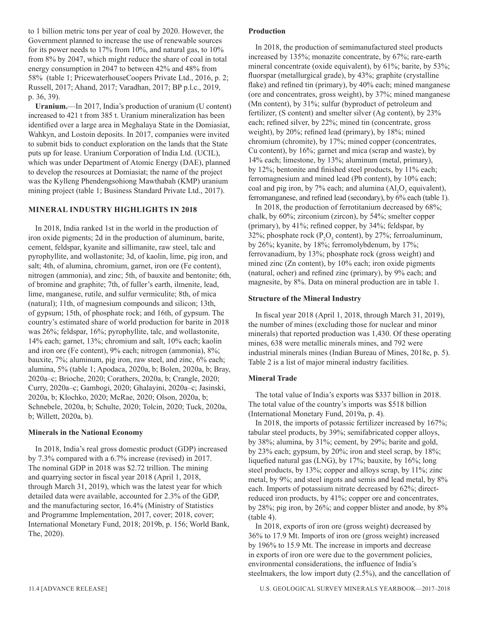to 1 billion metric tons per year of coal by 2020. However, the Government planned to increase the use of renewable sources for its power needs to 17% from 10%, and natural gas, to 10% from 8% by 2047, which might reduce the share of coal in total energy consumption in 2047 to between 42% and 48% from 58% (table 1; PricewaterhouseCoopers Private Ltd., 2016, p. 2; Russell, 2017; Ahand, 2017; Varadhan, 2017; BP p.l.c., 2019, p. 36, 39).

**Uranium.**—In 2017, India's production of uranium (U content) increased to 421 t from 385 t. Uranium mineralization has been identified over a large area in Meghalaya State in the Domiasiat, Wahkyn, and Lostoin deposits. In 2017, companies were invited to submit bids to conduct exploration on the lands that the State puts up for lease. Uranium Corporation of India Ltd. (UCIL), which was under Department of Atomic Energy (DAE), planned to develop the resources at Domiasiat; the name of the project was the Kylleng Phendengsohiong Mawthabah (KMP) uranium mining project (table 1; Business Standard Private Ltd., 2017).

#### **MINERAL INDUSTRY HIGHLIGHTS IN 2018**

In 2018, India ranked 1st in the world in the production of iron oxide pigments; 2d in the production of aluminum, barite, cement, feldspar, kyanite and sillimanite, raw steel, talc and pyrophyllite, and wollastonite; 3d, of kaolin, lime, pig iron, and salt; 4th, of alumina, chromium, garnet, iron ore (Fe content), nitrogen (ammonia), and zinc; 5th, of bauxite and bentonite; 6th, of bromine and graphite; 7th, of fuller's earth, ilmenite, lead, lime, manganese, rutile, and sulfur vermiculite; 8th, of mica (natural); 11th, of magnesium compounds and silicon; 13th, of gypsum; 15th, of phosphate rock; and 16th, of gypsum. The country's estimated share of world production for barite in 2018 was 26%; feldspar, 16%; pyrophyllite, talc, and wollastonite, 14% each; garnet, 13%; chromium and salt, 10% each; kaolin and iron ore (Fe content), 9% each; nitrogen (ammonia), 8%; bauxite, 7%; aluminum, pig iron, raw steel, and zinc, 6% each; alumina, 5% (table 1; Apodaca, 2020a, b; Bolen, 2020a, b; Bray, 2020a–c; Brioche, 2020; Corathers, 2020a, b; Crangle, 2020; Curry, 2020a–c; Gambogi, 2020; Ghalayini, 2020a–c; Jasinski, 2020a, b; Klochko, 2020; McRae, 2020; Olson, 2020a, b; Schnebele, 2020a, b; Schulte, 2020; Tolcin, 2020; Tuck, 2020a, b; Willett, 2020a, b).

#### **Minerals in the National Economy**

In 2018, India's real gross domestic product (GDP) increased by 7.3% compared with a 6.7% increase (revised) in 2017. The nominal GDP in 2018 was \$2.72 trillion. The mining and quarrying sector in fiscal year 2018 (April 1, 2018, through March 31, 2019), which was the latest year for which detailed data were available, accounted for 2.3% of the GDP, and the manufacturing sector, 16.4% (Ministry of Statistics and Programme Implementation, 2017, cover; 2018, cover; International Monetary Fund, 2018; 2019b, p. 156; World Bank, The, 2020).

#### **Production**

In 2018, the production of semimanufactured steel products increased by 135%; monazite concentrate, by 67%; rare-earth mineral concentrate (oxide equivalent), by 61%; barite, by 53%; fluorspar (metallurgical grade), by 43%; graphite (crystalline flake) and refined tin (primary), by 40% each; mined manganese (ore and concentrates, gross weight), by 37%; mined manganese (Mn content), by 31%; sulfur (byproduct of petroleum and fertilizer, (S content) and smelter silver (Ag content), by 23% each; refined silver, by 22%; mined tin (concentrate, gross weight), by 20%; refined lead (primary), by 18%; mined chromium (chromite), by 17%; mined copper (concentrates, Cu content), by 16%; garnet and mica (scrap and waste), by 14% each; limestone, by 13%; aluminum (metal, primary), by 12%; bentonite and finished steel products, by 11% each; ferromagnesium and mined lead (Pb content), by 10% each; coal and pig iron, by 7% each; and alumina  $(Al_2O_3)$  equivalent), ferromanganese, and refined lead (secondary), by 6% each (table 1).

In 2018, the production of ferrotitanium decreased by 68%; chalk, by 60%; zirconium (zircon), by 54%; smelter copper (primary), by 41%; refined copper, by 34%; feldspar, by 32%; phosphate rock ( $P_2O_5$  content), by 27%; ferroaluminum, by 26%; kyanite, by 18%; ferromolybdenum, by 17%; ferrovanadium, by 13%; phosphate rock (gross weight) and mined zinc (Zn content), by 10% each; iron oxide pigments (natural, ocher) and refined zinc (primary), by 9% each; and magnesite, by 8%. Data on mineral production are in table 1.

#### **Structure of the Mineral Industry**

In fiscal year 2018 (April 1, 2018, through March 31, 2019), the number of mines (excluding those for nuclear and minor minerals) that reported production was 1,430. Of these operating mines, 638 were metallic minerals mines, and 792 were industrial minerals mines (Indian Bureau of Mines, 2018c, p. 5). Table 2 is a list of major mineral industry facilities.

#### **Mineral Trade**

The total value of India's exports was \$337 billion in 2018. The total value of the country's imports was \$518 billion (International Monetary Fund, 2019a, p. 4).

In 2018, the imports of potassic fertilizer increased by 167%; tabular steel products, by 39%; semifabricated copper alloys, by 38%; alumina, by 31%; cement, by 29%; barite and gold, by 23% each; gypsum, by 20%; iron and steel scrap, by 18%; liquefied natural gas (LNG), by 17%; bauxite, by 16%; long steel products, by 13%; copper and alloys scrap, by 11%; zinc metal, by 9%; and steel ingots and semis and lead metal, by 8% each. Imports of potassium nitrate decreased by 62%; directreduced iron products, by 41%; copper ore and concentrates, by 28%; pig iron, by 26%; and copper blister and anode, by 8% (table 4).

In 2018, exports of iron ore (gross weight) decreased by 36% to 17.9 Mt. Imports of iron ore (gross weight) increased by 196% to 15.9 Mt. The increase in imports and decrease in exports of iron ore were due to the government policies, environmental considerations, the influence of India's steelmakers, the low import duty (2.5%), and the cancellation of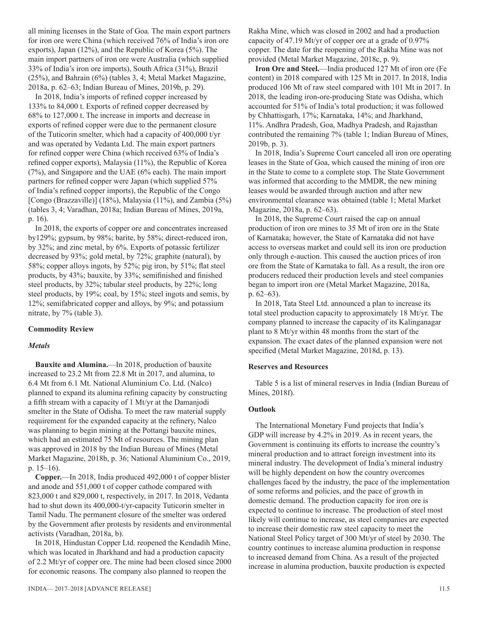all mining licenses in the State of Goa. The main export partners for iron ore were China (which received 76% of India's iron ore exports), Japan (12%), and the Republic of Korea (5%). The main import partners of iron ore were Australia (which supplied 33% of India's iron ore imports), South Africa (31%), Brazil (25%), and Bahrain (6%) (tables 3, 4; Metal Market Magazine, 2018a, p. 62–63; Indian Bureau of Mines, 2019b, p. 29).

In 2018, India's imports of refined copper increased by 133% to 84,000 t. Exports of refined copper decreased by 68% to 127,000 t. The increase in imports and decrease in exports of refined copper were due to the permanent closure of the Tuticorin smelter, which had a capacity of 400,000 t/yr and was operated by Vedanta Ltd. The main export partners for refined copper were China (which received 63% of India's refined copper exports), Malaysia (11%), the Republic of Korea (7%), and Singapore and the UAE (6% each). The main import partners for refined copper were Japan (which supplied 57% of India's refined copper imports), the Republic of the Congo [Congo (Brazzaville)] (18%), Malaysia (11%), and Zambia (5%) (tables 3, 4; Varadhan, 2018a; Indian Bureau of Mines, 2019a, p. 16).

In 2018, the exports of copper ore and concentrates increased by129%; gypsum, by 98%; barite, by 58%; direct-reduced iron, by 32%; and zinc metal, by 6%. Exports of potassic fertilizer decreased by 93%; gold metal, by 72%; graphite (natural), by 58%; copper alloys ingots, by 52%; pig iron, by 51%; flat steel products, by 43%; bauxite, by 33%; semifinished and finished steel products, by 32%; tabular steel products, by 22%; long steel products, by 19%; coal, by 15%; steel ingots and semis, by 12%; semifabricated copper and alloys, by 9%; and potassium nitrate, by 7% (table 3).

#### **Commodity Review**

#### *Metals*

**Bauxite and Alumina.**—In 2018, production of bauxite increased to 23.2 Mt from 22.8 Mt in 2017, and alumina, to 6.4 Mt from 6.1 Mt. National Aluminium Co. Ltd. (Nalco) planned to expand its alumina refining capacity by constructing a fifth stream with a capacity of 1 Mt/yr at the Damanjodi smelter in the State of Odisha. To meet the raw material supply requirement for the expanded capacity at the refinery, Nalco was planning to begin mining at the Pottangi bauxite mines, which had an estimated 75 Mt of resources. The mining plan was approved in 2018 by the Indian Bureau of Mines (Metal Market Magazine, 2018b, p. 36; National Aluminium Co., 2019, p. 15–16).

**Copper.**—In 2018, India produced 492,000 t of copper blister and anode and 551,000 t of copper cathode compared with 823,000 t and 829,000 t, respectively, in 2017. In 2018, Vedanta had to shut down its 400,000-t/yr-capacity Tuticorin smelter in Tamil Nadu. The permanent closure of the smelter was ordered by the Government after protests by residents and environmental activists (Varadhan, 2018a, b).

In 2018, Hindustan Copper Ltd. reopened the Kendadih Mine, which was located in Jharkhand and had a production capacity of 2.2 Mt/yr of copper ore. The mine had been closed since 2000 for economic reasons. The company also planned to reopen the

Rakha Mine, which was closed in 2002 and had a production capacity of 47.19 Mt/yr of copper ore at a grade of 0.97% copper. The date for the reopening of the Rakha Mine was not provided (Metal Market Magazine, 2018c, p. 9).

**Iron Ore and Steel.**—India produced 127 Mt of iron ore (Fe content) in 2018 compared with 125 Mt in 2017. In 2018, India produced 106 Mt of raw steel compared with 101 Mt in 2017. In 2018, the leading iron-ore-producing State was Odisha, which accounted for 51% of India's total production; it was followed by Chhattisgarh, 17%; Karnataka, 14%; and Jharkhand, 11%. Andhra Pradesh, Goa, Madhya Pradesh, and Rajasthan contributed the remaining 7% (table 1; Indian Bureau of Mines, 2019b, p. 3).

In 2018, India's Supreme Court canceled all iron ore operating leases in the State of Goa, which caused the mining of iron ore in the State to come to a complete stop. The State Government was informed that according to the MMDR, the new mining leases would be awarded through auction and after new environmental clearance was obtained (table 1; Metal Market Magazine, 2018a, p. 62–63).

In 2018, the Supreme Court raised the cap on annual production of iron ore mines to 35 Mt of iron ore in the State of Karnataka; however, the State of Karnataka did not have access to overseas market and could sell its iron ore production only through e-auction. This caused the auction prices of iron ore from the State of Karnataka to fall. As a result, the iron ore producers reduced their production levels and steel companies began to import iron ore (Metal Market Magazine, 2018a, p. 62–63).

In 2018, Tata Steel Ltd. announced a plan to increase its total steel production capacity to approximately 18 Mt/yr. The company planned to increase the capacity of its Kalinganagar plant to 8 Mt/yr within 48 months from the start of the expansion. The exact dates of the planned expansion were not specified (Metal Market Magazine, 2018d, p. 13).

#### **Reserves and Resources**

Table 5 is a list of mineral reserves in India (Indian Bureau of Mines, 2018f).

#### **Outlook**

The International Monetary Fund projects that India's GDP will increase by 4.2% in 2019. As in recent years, the Government is continuing its efforts to increase the country's mineral production and to attract foreign investment into its mineral industry. The development of India's mineral industry will be highly dependent on how the country overcomes challenges faced by the industry, the pace of the implementation of some reforms and policies, and the pace of growth in domestic demand. The production capacity for iron ore is expected to continue to increase. The production of steel most likely will continue to increase, as steel companies are expected to increase their domestic raw steel capacity to meet the National Steel Policy target of 300 Mt/yr of steel by 2030. The country continues to increase alumina production in response to increased demand from China. As a result of the projected increase in alumina production, bauxite production is expected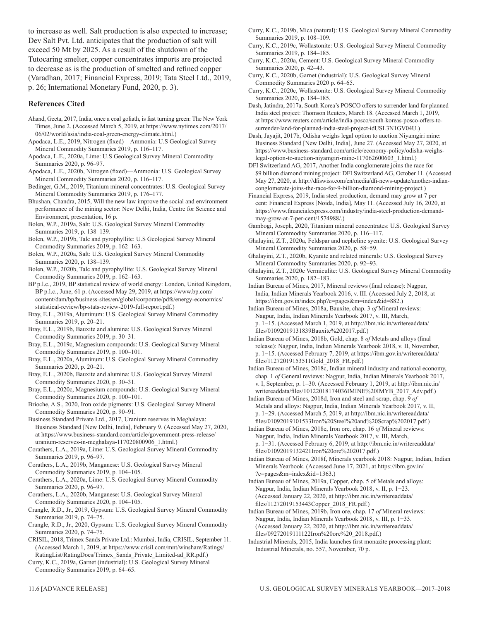to increase as well. Salt production is also expected to increase; Dev Salt Pvt. Ltd. anticipates that the production of salt will exceed 50 Mt by 2025. As a result of the shutdown of the Tutocaring smelter, copper concentrates imports are projected to decrease as is the production of smelted and refined copper (Varadhan, 2017; Financial Express, 2019; Tata Steel Ltd., 2019, p. 26; International Monetary Fund, 2020, p. 3).

#### **References Cited**

- Ahand, Geeta, 2017, India, once a coal goliath, is fast turning green: The New York Times, June 2. (Accessed March 5, 2019, at https://www.nytimes.com/2017/ 06/02/world/asia/india-coal-green-energy-climate.html.)
- Apodaca, L.E., 2019, Nitrogen (fixed)—Ammonia: U.S Geological Survey Mineral Commodity Summaries 2019, p. 116-117.
- Apodaca, L.E., 2020a, Lime: U.S Geological Survey Mineral Commodity Summaries 2020, p. 96-97.
- Apodaca, L.E., 2020b, Nitrogen (fixed)—Ammonia: U.S. Geological Survey Mineral Commodity Summaries 2020, p. 116-117.
- Bedinger, G.M., 2019, Titanium mineral concentrates: U.S. Geological Survey Mineral Commodity Summaries 2019, p. 176-177.
- Bhushan, Chandra, 2015, Will the new law improve the social and environment performance of the mining sector: New Delhi, India, Centre for Science and Environment, presentation, 16 p.
- Bolen, W.P., 2019a, Salt: U.S. Geological Survey Mineral Commodity Summaries 2019, p. 138-139.
- Bolen, W.P., 2019b, Talc and pyrophyllite: U.S Geological Survey Mineral Commodity Summaries 2019, p. 162-163.
- Bolen, W.P., 2020a, Salt: U.S. Geological Survey Mineral Commodity Summaries 2020, p. 138-139.
- Bolen, W.P., 2020b, Talc and pyrophyllite: U.S. Geological Survey Mineral Commodity Summaries 2019, p. 162-163.
- BP p.l.c., 2019, BP statistical review of world energy: London, United Kingdom, BP p.l.c., June, 61 p. (Accessed May 29, 2019, at https://www.bp.com/ content/dam/bp/business-sites/en/global/corporate/pdfs/energy-economics/ statistical-review/bp-stats-review-2019-full-report.pdf.)
- Bray, E.L., 2019a, Aluminum: U.S. Geological Survey Mineral Commodity Summaries 2019, p. 20-21.
- Bray, E.L., 2019b, Bauxite and alumina: U.S. Geological Survey Mineral Commodity Summaries 2019, p. 30-31.
- Bray, E.L., 2019c, Magnesium compounds: U.S. Geological Survey Mineral Commodity Summaries 2019, p. 100-101.
- Bray, E.L., 2020a, Aluminum: U.S. Geological Survey Mineral Commodity Summaries 2020, p. 20–21.
- Bray, E.L., 2020b, Bauxite and alumina: U.S. Geological Survey Mineral Commodity Summaries 2020, p. 30-31.
- Bray, E.L., 2020c, Magnesium compounds: U.S. Geological Survey Mineral Commodity Summaries 2020, p. 100-101.
- Brioche, A.S., 2020, Iron oxide pigments: U.S. Geological Survey Mineral Commodity Summaries 2020, p. 90-91.
- Business Standard Private Ltd., 2017, Uranium reserves in Meghalaya: Business Standard [New Delhi, India], February 9. (Accessed May 27, 2020, at https://www.business-standard.com/article/government-press-release/ uranium-reserves-in-meghalaya-117020800906\_1.html.)
- Corathers, L.A., 2019a, Lime: U.S. Geological Survey Mineral Commodity Summaries 2019, p. 96-97.
- Corathers, L.A., 2019b, Manganese: U.S. Geological Survey Mineral Commodity Summaries 2019, p. 104-105.
- Corathers, L.A., 2020a, Lime: U.S. Geological Survey Mineral Commodity Summaries 2020, p. 96-97.
- Corathers, L.A., 2020b, Manganese: U.S. Geological Survey Mineral Commodity Summaries 2020, p. 104-105.
- Crangle, R.D., Jr., 2019, Gypsum: U.S. Geological Survey Mineral Commodity Summaries 2019, p. 74‒75.
- Crangle, R.D., Jr., 2020, Gypsum: U.S. Geological Survey Mineral Commodity Summaries 2020, p. 74‒75.
- CRISIL, 2018, Trimex Sands Private Ltd.: Mumbai, India, CRISIL, September 11. (Accessed March 1, 2019, at https://www.crisil.com/mnt/winshare/Ratings/ RatingList/RatingDocs/Trimex\_Sands\_Private\_Limited-ad\_RR.pdf.)
- Curry, K.C., 2019a, Garnet (industrial): U.S. Geological Survey Mineral Commodity Summaries 2019, p. 64–65.
- Curry, K.C., 2019b, Mica (natural): U.S. Geological Survey Mineral Commodity Summaries 2019, p. 108-109.
- Curry, K.C., 2019c, Wollastonite: U.S. Geological Survey Mineral Commodity Summaries 2019, p. 184-185.
- Curry, K.C., 2020a, Cement: U.S. Geological Survey Mineral Commodity Summaries 2020, p. 42-43.
- Curry, K.C., 2020b, Garnet (industrial): U.S. Geological Survey Mineral Commodity Summaries 2020 p. 64–65.
- Curry, K.C., 2020c, Wollastonite: U.S. Geological Survey Mineral Commodity Summaries 2020, p. 184‒185.
- Dash, Jatindra, 2017a, South Korea's POSCO offers to surrender land for planned India steel project: Thomson Reuters, March 18. (Accessed March 1, 2019, at https://www.reuters.com/article/india-posco/south-koreas-posco-offers-tosurrender-land-for-planned-india-steel-project-idUSL3N1GV04U.)
- Dash, Jayajit, 2017b, Odisha weighs legal option to auction Niyamgiri mine: Business Standard [New Delhi, India], June 27. (Accessed May 27, 2020, at https://www.business-standard.com/article/economy-policy/odisha-weighslegal-option-to-auction-niyamgiri-mine-117062600603\_1.html.)
- DFI Switzerland AG, 2017, Another India conglomerate joins the race for \$9 billion diamond mining project: DFI Switzerland AG, October 11. (Accessed May 27, 2020, at http://dfiswiss.com/en/media/dfi-news-update/another-indianconglomerate-joins-the-race-for-9-billion-diamond-mining-project.)
- Financial Express, 2019, India steel production, demand may grow at 7 per cent: Financial Express [Noida, India], May 11. (Accessed July 16, 2020, at https://www.financialexpress.com/industry/india-steel-production-demandmay-grow-at-7-per-cent/1574988/.)
- Gambogi, Joseph, 2020, Titanium mineral concentrates: U.S. Geological Survey Mineral Commodity Summaries 2020, p. 116−117.
- Ghalayini, Z.T., 2020a, Feldspar and nepheline syenite: U.S. Geological Survey Mineral Commodity Summaries 2020, p. 58−59.
- Ghalayini, Z.T., 2020b, Kyanite and related minerals: U.S. Geological Survey Mineral Commodity Summaries 2020, p. 92−93.
- Ghalayini, Z.T., 2020c Vermiculite: U.S. Geological Survey Mineral Commodity Summaries 2020, p. 182−183.
- Indian Bureau of Mines, 2017, Mineral reviews (final release): Nagpur, India, Indian Minerals Yearbook 2016, v. III. (Accessed July 2, 2018, at https://ibm.gov.in/index.php?c=pages&m=index&id=882.)
- Indian Bureau of Mines, 2018a, Bauxite, chap. 3 *of* Mineral reviews: Nagpur, India, Indian Minerals Yearbook 2017, v. III, March, p. 1−15. (Accessed March 1, 2019, at http://ibm.nic.in/writereaddata/ files/01092019131839Bauxite%202017.pdf.)
- Indian Bureau of Mines, 2018b, Gold, chap. 8 *of* Metals and alloys (final release): Nagpur, India, Indian Minerals Yearbook 2018, v. II, November, p. 1−15. (Accessed February 7, 2019, at https://ibm.gov.in/writereaddata/ files/11272019153511Gold\_2018\_FR.pdf.)
- Indian Bureau of Mines, 2018c, Indian mineral industry and national economy, chap. 1 *of* General reviews: Nagpur, India, Indian Minerals Yearbook 2017, v. I, September, p. 1–30. (Accessed February 1, 2019, at http://ibm.nic.in/ writereaddata/files/10122018174036IMINE%20IMYB\_2017\_Adv.pdf.)
- Indian Bureau of Mines, 2018d, Iron and steel and scrap, chap. 9 *of* Metals and alloys: Nagpur, India, Indian Minerals Yearbook 2017, v. II, p. 1−29. (Accessed March 5, 2019, at http://ibm.nic.in/writereaddata/ files/01092019101533Iron%20Steel%20and%20Scrap%202017.pdf.)
- Indian Bureau of Mines, 2018e, Iron ore, chap. 16 *of* Mineral reviews: Nagpur, India, Indian Minerals Yearbook 2017, v. III, March, p. 1−31. (Accessed February 6, 2019, at http://ibm.nic.in/writereaddata/ files/01092019132421Iron%20ore%202017.pdf.)
- Indian Bureau of Mines, 2018f, Minerals yearbook 2018: Nagpur, Indian, Indian Minerals Yearbook. (Accessed June 17, 2021, at https://ibm.gov.in/ ?c=pages&m=index&id=1363.)
- Indian Bureau of Mines, 2019a, Copper, chap. 5 of Metals and alloys: Nagpur, India, Indian Minerals Yearbook 2018, v. II, p. 1−23. (Accessed January 22, 2020, at http://ibm.nic.in/writereaddata/ files/11272019153443Copper\_2018\_FR.pdf.)
- Indian Bureau of Mines, 2019b, Iron ore, chap. 17 *of* Mineral reviews: Nagpur, India, Indian Minerals Yearbook 2018, v. III, p. 1−33. (Accessed January 22, 2020, at http://ibm.nic.in/writereaddata/ files/09272019111122Iron%20ore%20\_2018.pdf.)
- Industrial Minerals, 2015, India launches first monazite processing plant: Industrial Minerals, no. 557, November, 70 p.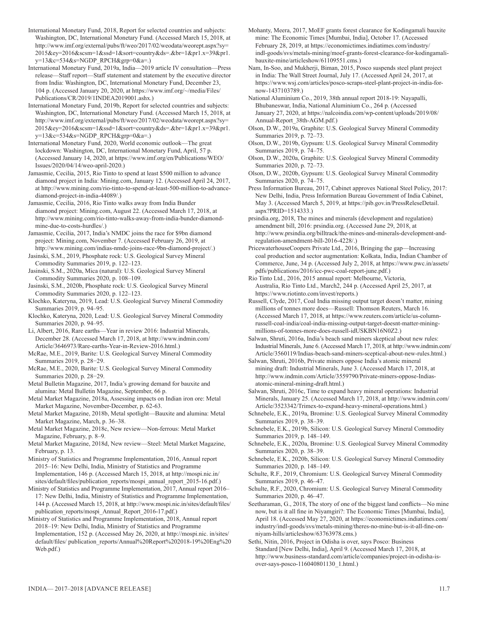International Monetary Fund, 2018, Report for selected countries and subjects: Washington, DC, International Monetary Fund. (Accessed March 15, 2018, at http://www.imf.org/external/pubs/ft/weo/2017/02/weodata/weorept.aspx?sy= 2015&ey=2016&scsm=1&ssd=1&sort=country&ds=.&br=1&pr1.x=39&pr1. y=13&c=534&s=NGDP\_RPCH&grp=0&a=.)

International Monetary Fund, 2019a, India—2019 article IV consultation—Press release—Staff report—Staff statement and statement by the executive director from India: Washington, DC, International Monetary Fund, December 23, 104 p. (Accessed January 20, 2020, at https://www.imf.org/~/media/Files/ Publications/CR/2019/1INDEA2019001.ashx.)

International Monetary Fund, 2019b, Report for selected countries and subjects: Washington, DC, International Monetary Fund. (Accessed March 15, 2018, at http://www.imf.org/external/pubs/ft/weo/2017/02/weodata/weorept.aspx?sy= 2015&ey=2016&scsm=1&ssd=1&sort=country&ds=.&br=1&pr1.x=39&pr1. y=13&c=534&s=NGDP\_RPCH&grp=0&a=.)

International Monetary Fund, 2020, World economic outlook—The great lockdown: Washington, DC, International Monetary Fund, April, 57 p. (Accessed January 14, 2020, at https://www.imf.org/en/Publications/WEO/ Issues/2020/04/14/weo-april-2020.)

Jamasmie, Cecilia, 2015, Rio Tinto to spend at least \$500 million to advance diamond project in India: Mining.com, January 12. (Accessed April 24, 2017, at http://www.mining.com/rio-tinto-to-spend-at-least-500-million-to-advancediamond-project-in-india-44089/.)

Jamasmie, Cecilia, 2016, Rio Tinto walks away from India Bunder diamond project: Mining.com, August 22. (Accessed March 17, 2018, at http://www.mining.com/rio-tinto-walks-away-from-india-bunder-diamondmine-due-to-costs-hurdles/.)

Jamasmie, Cecilia, 2017, India's NMDC joins the race for \$9bn diamond project: Mining.com, November 7. (Accessed February 26, 2019, at http://www.mining.com/indias-nmdc-joins-race-9bn-diamond-project/.)

Jasinski, S.M., 2019, Phosphate rock: U.S. Geological Survey Mineral Commodity Summaries 2019, p. 122-123.

Jasinski, S.M., 2020a, Mica (natural): U.S. Geological Survey Mineral Commodity Summaries 2020, p. 108-109.

Jasinski, S.M., 2020b, Phosphate rock: U.S. Geological Survey Mineral Commodity Summaries 2020, p. 122-123.

Klochko, Kateryna, 2019, Lead: U.S. Geological Survey Mineral Commodity Summaries 2019, p. 94‒95.

Klochko, Kateryna, 2020, Lead: U.S. Geological Survey Mineral Commodity Summaries 2020, p. 94‒95.

Li, Albert, 2016, Rare earths—Year in review 2016: Industrial Minerals, December 28. (Accessed March 17, 2018, at http://www.indmin.com/ Article/3646973/Rare-earths-Year-in-Review-2016.html.)

McRae, M.E., 2019, Barite: U.S. Geological Survey Mineral Commodity Summaries 2019, p. 28−29.

McRae, M.E., 2020, Barite: U.S. Geological Survey Mineral Commodity Summaries 2020, p. 28−29.

Metal Bulletin Magazine, 2017, India's growing demand for bauxite and alumina: Metal Bulletin Magazine, September, 66 p.

Metal Market Magazine, 2018a, Assessing impacts on Indian iron ore: Metal Market Magazine, November-December, p. 62-63.

Metal Market Magazine, 2018b, Metal spotlight—Bauxite and alumina: Metal Market Magazine, March, p. 36‒38.

Metal Market Magazine, 2018c, New review—Non-ferrous: Metal Market Magazine, February, p. 8-9.

Metal Market Magazine, 2018d, New review—Steel: Metal Market Magazine, February, p. 13.

Ministry of Statistics and Programme Implementation, 2016, Annual report 2015–16: New Delhi, India, Ministry of Statistics and Programme Implementation, 146 p. (Accessed March 15, 2018, at http://mospi.nic.in/ sites/default/files/publication\_reports/mospi\_annual\_report\_2015-16.pdf.)

Ministry of Statistics and Programme Implementation, 2017, Annual report 2016– 17: New Delhi, India, Ministry of Statistics and Programme Implementation, 144 p. (Accessed March 15, 2018, at http://www.mospi.nic.in/sites/default/files/ publication\_reports/mospi\_Annual\_Report\_2016-17.pdf.)

Ministry of Statistics and Programme Implementation, 2018, Annual report 2018–19: New Delhi, India, Ministry of Statistics and Programme Implementation, 152 p. (Accessed May 26, 2020, at http://mospi.nic. in/sites/ default/files/ publication\_reports/Annual%20Report%202018-19%20Eng%20 Web.pdf.)

Mohanty, Meera, 2017, MoEF grants forest clearance for Kodingamali bauxite mine: The Economic Times [Mumbai, India], October 17. (Accessed February 28, 2019, at https://economictimes.indiatimes.com/industry/ indl-goods/svs/metals-mining/moef-grants-forest-clearance-for-kodingamalibauxite-mine/articleshow/61109551.cms.)

Nam, In-Soo, and Mukherji, Biman, 2015, Posco suspends steel plant project in India: The Wall Street Journal, July 17. (Accessed April 24, 2017, at https://www.wsj.com/articles/posco-scraps-steel-plant-project-in-india-fornow-1437103789.)

National Aluminium Co., 2019, 38th annual report 2018-19: Nayapalli, Bhubaneswar, India, National Aluminium Co., 264 p. (Accessed January 27, 2020, at https://nalcoindia.com/wp-content/uploads/2019/08/ Annual-Report\_38th-AGM.pdf.)

Olson, D.W., 2019a, Graphite: U.S. Geological Survey Mineral Commodity Summaries 2019, p. 72‒73.

Olson, D.W., 2019b, Gypsum: U.S. Geological Survey Mineral Commodity Summaries 2019, p. 74‒75.

Olson, D.W., 2020a, Graphite: U.S. Geological Survey Mineral Commodity Summaries 2020, p. 72‒73.

Olson, D.W., 2020b, Gypsum: U.S. Geological Survey Mineral Commodity Summaries 2020, p. 74‒75.

Press Information Bureau, 2017, Cabinet approves National Steel Policy, 2017: New Delhi, India, Press Information Bureau Government of India Cabinet, May 3. (Accessed March 5, 2019, at https://pib.gov.in/PressReleseDetail. aspx?PRID=1514333.)

prsindia.org, 2018, The mines and minerals (development and regulation) amendment bill, 2016: prsindia.org. (Accessed June 29, 2018, at http://www.prsindia.org/billtrack/the-mines-and-minerals-development-andregulation-amendment-bill-2016-4228/.)

PricewaterhouseCoopers Private Ltd., 2016, Bringing the gap—Increasing coal production and sector augmentation: Kolkata, India, Indian Chamber of Commerce, June, 34 p. (Accessed July 2, 2018, at https://www.pwc.in/assets/ pdfs/publications/2016/icc-pwc-coal-report-june.pdf.)

Rio Tinto Ltd., 2016, 2015 annual report: Melbourne, Victoria, Australia, Rio Tinto Ltd., March2, 244 p. (Accessed April 25, 2017, at https://www.riotinto.com/invest/reports.)

Russell, Clyde, 2017, Coal India missing output target doesn't matter, mining millions of tonnes more does—Russell: Thomson Reuters, March 16. (Accessed March 17, 2018, at https://www.reuters.com/article/us-columnrussell-coal-india/coal-india-missing-output-target-doesnt-matter-miningmillions-of-tonnes-more-does-russell-idUSKBN16N0Z2.)

Salwan, Shruti, 2016a, India's beach sand miners skeptical about new rules: Industrial Minerals, June 6. (Accessed March 17, 2018, at http://www.indmin.com/ Article/3560119/Indias-beach-sand-miners-sceptical-about-new-rules.html.)

Salwan, Shruti, 2016b, Private miners oppose India's atomic mineral mining draft: Industrial Minerals, June 3. (Accessed March 17, 2018, at http://www.indmin.com/Article/3559790/Private-miners-oppose-Indiasatomic-mineral-mining-draft.html.)

Salwan, Shruti, 2016c, Time to expand heavy mineral operations: Industrial Minerals, January 25. (Accessed March 17, 2018, at http://www.indmin.com/ Article/3523342/Trimex-to-expand-heavy-mineral-operations.html.)

Schnebele, E.K., 2019a, Bromine: U.S. Geological Survey Mineral Commodity Summaries 2019, p. 38‒39.

Schnebele, E.K., 2019b, Silicon: U.S. Geological Survey Mineral Commodity Summaries 2019, p. 148-149.

Schnebele, E.K., 2020a, Bromine: U.S. Geological Survey Mineral Commodity Summaries 2020, p. 38‒39.

Schnebele, E.K., 2020b, Silicon: U.S. Geological Survey Mineral Commodity Summaries 2020, p. 148-149.

Schulte, R.F., 2019, Chromium: U.S. Geological Survey Mineral Commodity Summaries 2019, p. 46-47.

Schulte, R.F., 2020, Chromium: U.S. Geological Survey Mineral Commodity Summaries 2020, p. 46-47.

Seetharaman, G., 2018, The story of one of the biggest land conflicts—No mine now, but is it all fine in Niyamgiri?: The Economic Times [Mumbai, India], April 18. (Accessed May 27, 2020, at https://economictimes.indiatimes.com/ industry/indl-goods/svs/metals-mining/theres-no-mine-but-is-it-all-fine-onniyam-hills/articleshow/63763978.cms.)

Sethi, Nitin, 2016, Project in Odisha is over, says Posco: Business Standard [New Delhi, India], April 9. (Accessed March 17, 2018, at http://www.business-standard.com/article/companies/project-in-odisha-isover-says-posco-116040801130\_1.html.)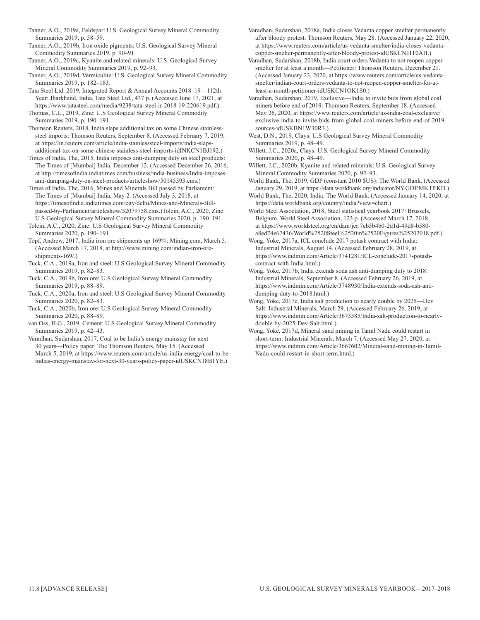- Tanner, A.O., 2019a, Feldspar: U.S. Geological Survey Mineral Commodity Summaries 2019, p. 58-59.
- Tanner, A.O., 2019b, Iron oxide pigments: U.S. Geological Survey Mineral Commodity Summaries 2019, p. 90-91.

Tanner, A.O., 2019c, Kyanite and related minerals: U.S. Geological Survey Mineral Commodity Summaries 2019, p. 92-93.

Tanner, A.O., 2019d, Vermiculite: U.S. Geological Survey Mineral Commodity Summaries 2019, p. 182-183.

Tata Steel Ltd. 2019, Integrated Report & Annual Accounts 2018–19—112th Year: Jharkhand, India, Tata Steel Ltd., 437 p. (Accessed June 17, 2021, at https://www.tatasteel.com/media/9238/tata-steel-ir-2018-19-220619.pdf.) Thomas, C.L., 2019, Zinc: U.S Geological Survey Mineral Commodity

Summaries 2019, p. 190-191. Thomson Reuters, 2018, India slaps additional tax on some Chinese stainlesssteel imports: Thomson Reuters, September 8. (Accessed February 7, 2019,

at https://in.reuters.com/article/india-stainlesssteel-imports/india-slapsadditional-tax-on-some-chinese-stainless-steel-imports-idINKCN1BJ192.)

Times of India, The, 2015, India imposes anti-dumping duty on steel products: The Times of [Mumbai] India, December 12. (Accessed December 26, 2016, at http://timesofindia.indiatimes.com/business/india-business/India-imposesanti-dumping-duty-on-steel-products/articleshow/50145593.cms.)

Times of India, The, 2016, Mines and Minerals Bill passed by Parliament: The Times of [Mumbai] India, May 2. (Accessed July 3, 2018, at https://timesofindia.indiatimes.com/city/delhi/Mines-and-Minerals-Billpassed-by-Parliament/articleshow/52079758.cms.)Tolcin, A.C., 2020, Zinc: U.S Geological Survey Mineral Commodity Summaries 2020, p. 190-191.

Tolcin, A.C., 2020, Zinc: U.S Geological Survey Mineral Commodity Summaries 2020, p. 190-191.

Topf, Andrew, 2017, India iron ore shipments up 169%: Mining.com, March 5. (Accessed March 17, 2018, at http://www.mining.com/indian-iron-oreshipments-169/.)

Tuck, C.A., 2019a, Iron and steel: U.S Geological Survey Mineral Commodity Summaries 2019, p. 82-83.

- Tuck, C.A., 2019b, Iron ore: U.S Geological Survey Mineral Commodity Summaries 2019, p. 88‒89.
- Tuck, C.A., 2020a, Iron and steel: U.S Geological Survey Mineral Commodity Summaries 2020, p. 82-83.
- Tuck, C.A., 2020b, Iron ore: U.S Geological Survey Mineral Commodity Summaries 2020, p. 88‒89.
- van Oss, H.G., 2019, Cement: U.S Geological Survey Mineral Commodity Summaries 2019, p. 42-43.
- Varadhan, Sudarshan, 2017, Coal to be India's energy mainstay for next 30 years—Policy paper: The Thomson Reuters, May 15. (Accessed March 5, 2019, at https://www.reuters.com/article/us-india-energy/coal-to-beindias-energy-mainstay-for-next-30-years-policy-paper-idUSKCN18B1YE.)

Varadhan, Sudarshan, 2018a, India closes Vedanta copper smelter permanently after bloody protest: Thomson Reuters, May 28. (Accessed January 22, 2020, at https://www.reuters.com/article/us-vedanta-smelter/india-closes-vedantacopper-smelter-permanently-after-bloody-protest-idUSKCN1IT0AH.)

Varadhan, Sudarshan, 2018b, India court orders Vedanta to not reopen copper smelter for at least a month—Petitioner: Thomson Reuters, December 21. (Accessed January 23, 2020, at https://www.reuters.com/article/us-vedantasmelter/indian-court-orders-vedanta-to-not-reopen-copper-smelter-for-atleast-a-month-petitioner-idUSKCN1OK1S0.)

- Varadhan, Sudarshan, 2019, Exclusive—India to invite bids from global coal miners before end of 2019: Thomson Reuters, September 18. (Accessed May 26, 2020, at https://www.reuters.com/article/us-india-coal-exclusive/ exclusive-india-to-invite-bids-from-global-coal-miners-before-end-of-2019 sources-idUSKBN1W30R3.)
- West, D.N., 2019, Clays: U.S Geological Survey Mineral Commodity Summaries 2019, p. 48-49.
- Willett, J.C., 2020a, Clays: U.S. Geological Survey Mineral Commodity Summaries 2020, p. 48-49.
- Willett, J.C., 2020b, Kyanite and related minerals: U.S. Geological Survey Mineral Commodity Summaries 2020, p. 92-93.

World Bank, The, 2019, GDP (constant 2010 \$US): The World Bank. (Accessed January 29, 2019, at https://data.worldbank.org/indicator/NY.GDP.MKTP.KD.)

World Bank, The, 2020, India: The World Bank. (Accessed January 14, 2020, at https://data.worldbank.org/country/india?view=chart.)

World Steel Association, 2018, Steel statistical yearbook 2017: Brussels, Belgium, World Steel Association, 123 p. (Accessed March 17, 2018, at https://www.worldsteel.org/en/dam/jcr:7eb5b4b0-2d1d-49d8-b580 a8ed74e67436/World%2520Steel%2520in%2520Figures%25202018.pdf.)

Wong, Yoke, 2017a, ICL conclude 2017 potash contract with India: Industrial Minerals, August 14. (Accessed February 28, 2019, at https://www.indmin.com/Article/3741281/ICL-conclude-2017-potashcontract-with-India.html.)

Wong, Yoke, 2017b, India extends soda ash anti-dumping duty to 2018: Industrial Minerals, September 8. (Accessed February 26, 2019, at https://www.indmin.com/Article/3748930/India-extends-soda-ash-antidumping-duty-to-2018.html.)

Wong, Yoke, 2017c, India salt production to nearly double by 2025—Dev Salt: Industrial Minerals, March 29. (Accessed February 26, 2019, at https://www.indmin.com/Article/3673585/India-salt-production-to-nearlydouble-by-2025-Dev-Salt.html.)

Wong, Yoke, 2017d, Mineral sand mining in Tamil Nadu could restart in short-term: Industrial Minerals, March 7. (Accessed May 27, 2020, at https://www.indmin.com/Article/3667602/Mineral-sand-mining-in-Tamil-Nadu-could-restart-in-short-term.html.)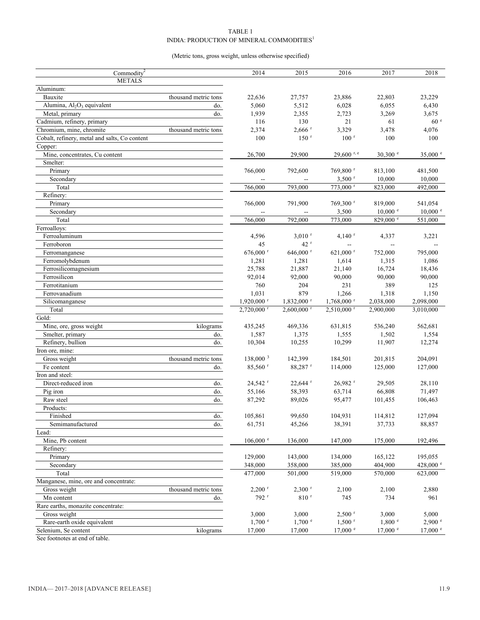#### TABLE 1 INDIA: PRODUCTION OF MINERAL COMMODITIES  $^{\mathrm{l}}$

#### (Metric tons, gross weight, unless otherwise specified)

| Commodity <sup>2</sup>                             |                      | 2014                     | 2015                     | 2016                     | 2017               | 2018               |
|----------------------------------------------------|----------------------|--------------------------|--------------------------|--------------------------|--------------------|--------------------|
| <b>METALS</b>                                      |                      |                          |                          |                          |                    |                    |
| Aluminum:                                          |                      |                          |                          |                          |                    |                    |
| Bauxite                                            | thousand metric tons | 22,636                   | 27,757                   | 23,886                   | 22,803             | 23,229             |
| Alumina, Al <sub>2</sub> O <sub>3</sub> equivalent | do.                  | 5,060                    | 5,512                    | 6,028                    | 6,055              | 6,430              |
| Metal, primary                                     | do.                  | 1,939                    | 2,355                    | 2,723                    | 3,269              | 3,675              |
| Cadmium, refinery, primary                         |                      | 116                      | 130                      | 21                       | 61                 | 60 <sup>e</sup>    |
| Chromium, mine, chromite                           | thousand metric tons | 2,374                    | $2,666$ <sup>r</sup>     | 3,329                    | 3,478              | 4,076              |
| Cobalt, refinery, metal and salts, Co content      |                      | 100                      | 150 <sup>r</sup>         | $100$ <sup>r</sup>       | 100                | 100                |
| Copper:                                            |                      |                          |                          |                          |                    |                    |
| Mine, concentrates, Cu content                     |                      | 26,700                   | 29,900                   | $29,600$ r, e            | $30,300$ e         | 35,000 $^{\circ}$  |
| Smelter:                                           |                      |                          |                          |                          |                    |                    |
| Primary                                            |                      | 766,000                  | 792,600                  | 769,800 r                | 813,100            | 481,500            |
| Secondary                                          |                      |                          |                          | $3,500$ <sup>r</sup>     | 10,000             | 10,000             |
| Total                                              |                      | 766,000                  | 793,000                  | $773,000$ r              | 823,000            | 492,000            |
| Refinery:                                          |                      |                          |                          |                          |                    |                    |
| Primary                                            |                      | 766,000                  | 791,900                  | 769,300 <sup>r</sup>     | 819,000            | 541,054            |
| Secondary                                          |                      |                          |                          | 3,500                    | $10,000$ $\degree$ | $10,000$ $\degree$ |
| Total                                              |                      | 766,000                  | 792,000                  | 773,000                  | $829,000$ e        | 551,000            |
| Ferroalloys:                                       |                      |                          |                          |                          |                    |                    |
| Ferroaluminum                                      |                      | 4,596                    | $3,010$ <sup>r</sup>     | $4,140$ <sup>r</sup>     | 4,337              | 3,221              |
| Ferroboron                                         |                      | 45                       | $42$ <sup>r</sup>        | н.                       | --                 |                    |
| Ferromanganese                                     |                      | 676,000 r                | 646,000 r                | 621,000 r                | 752,000            | 795,000            |
| Ferromolybdenum                                    |                      | 1,281                    | 1,281                    | 1,614                    | 1,315              | 1,086              |
| Ferrosilicomagnesium                               |                      | 25,788                   | 21,887                   | 21,140                   | 16,724             | 18,436             |
| Ferrosilicon                                       |                      | 92,014                   | 92,000                   | 90,000                   | 90,000             | 90,000             |
| Ferrotitanium                                      |                      | 760                      | 204                      | 231                      | 389                | 125                |
| Ferrovanadium                                      |                      | 1,031                    | 879                      | 1,266                    | 1,318              | 1,150              |
| Silicomanganese                                    |                      | $1,920,000$ <sup>r</sup> | $1,832,000$ <sup>r</sup> | $1,768,000$ <sup>r</sup> | 2,038,000          | 2,098,000          |
| Total                                              |                      | $2,720,000$ <sup>r</sup> | $2,600,000$ <sup>r</sup> | $2,510,000$ <sup>r</sup> | 2,900,000          | 3,010,000          |
| Gold:                                              |                      |                          |                          |                          |                    |                    |
| Mine, ore, gross weight                            | kilograms            | 435,245                  | 469,336                  | 631,815                  | 536,240            | 562,681            |
| Smelter, primary                                   | do.                  | 1,587                    | 1,375                    | 1,555                    | 1,502              | 1,554              |
| Refinery, bullion                                  | do.                  | 10,304                   | 10,255                   | 10,299                   | 11,907             | 12,274             |
| Iron ore, mine:                                    |                      |                          |                          |                          |                    |                    |
| Gross weight                                       | thousand metric tons | $138,000^3$              | 142,399                  | 184,501                  | 201,815            | 204,091            |
| Fe content                                         | do.                  | $85,560$ <sup>r</sup>    | 88,287 <sup>r</sup>      | 114,000                  | 125,000            | 127,000            |
| Iron and steel:                                    |                      |                          |                          |                          |                    |                    |
| Direct-reduced iron                                | do.                  | 24,542 <sup>r</sup>      | 22,644 r                 | 26,982 r                 | 29,505             | 28,110             |
| Pig iron                                           | do.                  | 55,166                   | 58,393                   | 63,714                   | 66,808             | 71,497             |
| Raw steel                                          | do.                  | 87,292                   | 89,026                   | 95,477                   | 101,455            | 106,463            |
| Products:                                          |                      |                          |                          |                          |                    |                    |
| Finished                                           | do.                  | 105,861                  | 99,650                   | 104,931                  | 114,812            | 127,094            |
| Semimanufactured                                   | do.                  | 61,751                   | 45,266                   | 38,391                   | 37,733             | 88,857             |
| Lead:                                              |                      |                          |                          |                          |                    |                    |
| Mine, Pb content                                   |                      | $106,000$ $\degree$      | 136,000                  | 147,000                  | 175,000            | 192,496            |
| Refinery:                                          |                      |                          |                          |                          |                    |                    |
| Primary                                            |                      | 129,000                  | 143,000                  | 134,000                  | 165,122            | 195,055            |
| Secondary                                          |                      | 348,000                  | 358,000                  | 385,000                  | 404,900            | 428,000 $^{\circ}$ |
| Total                                              |                      | 477,000                  | 501,000                  | 519,000                  | 570,000            | 623,000            |
| Manganese, mine, ore and concentrate:              |                      |                          |                          |                          |                    |                    |
| Gross weight                                       | thousand metric tons | $2,200$ <sup>r</sup>     | $2,300$ <sup>r</sup>     | 2,100                    | 2,100              | 2,880              |
| Mn content                                         | do.                  | 792 <sup>r</sup>         | $810$ <sup>r</sup>       | 745                      | 734                | 961                |
| Rare earths, monazite concentrate:                 |                      |                          |                          |                          |                    |                    |
| Gross weight                                       |                      | 3,000                    | 3,000                    | $2,500$ <sup>r</sup>     | 3,000              | 5,000              |
| Rare-earth oxide equivalent                        |                      | $1,700$ $\degree$        | $1,700$ $\degree$        | $1,500$ <sup>r</sup>     | 1,800 °            | $2,900$ $^{\circ}$ |
| Selenium, Se content                               | kilograms            | 17,000                   | 17,000                   | $17,000$ $\degree$       | 17,000 °           | 17,000 °           |
|                                                    |                      |                          |                          |                          |                    |                    |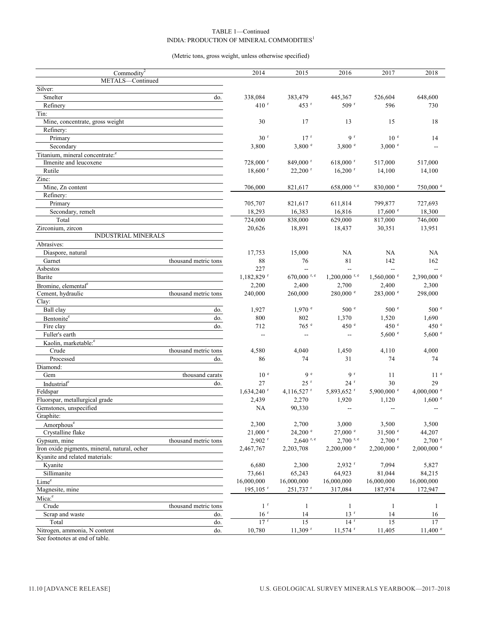#### TABLE 1—Continued INDIA: PRODUCTION OF MINERAL COMMODITIES<sup>1</sup>

(Metric tons, gross weight, unless otherwise specified)

| Commodity <sup>2</sup>                       | 2014                     | 2015                     | 2016                        | 2017                     | 2018                     |
|----------------------------------------------|--------------------------|--------------------------|-----------------------------|--------------------------|--------------------------|
| METALS-Continued                             |                          |                          |                             |                          |                          |
| Silver:                                      |                          |                          |                             |                          |                          |
| Smelter<br>do.                               | 338,084                  | 383,479                  | 445,367                     | 526,604                  | 648,600                  |
| Refinery                                     | 410 <sup>r</sup>         | $453$ <sup>r</sup>       | 509 <sup>r</sup>            | 596                      | 730                      |
| Tin:                                         |                          |                          |                             |                          |                          |
| Mine, concentrate, gross weight              | 30                       | 17                       | 13                          | 15                       | 18                       |
| Refinery:                                    |                          |                          |                             |                          |                          |
| Primary                                      | 30 <sup>r</sup>          | 17 <sup>r</sup>          | 9 <sup>r</sup>              | 10 <sup>e</sup>          | 14                       |
| Secondary                                    | 3,800                    | 3,800 °                  | 3,800 °                     | 3,000 °                  |                          |
| Titanium, mineral concentrate: <sup>e</sup>  |                          |                          |                             |                          |                          |
| Ilmenite and leucoxene                       | 728,000 r                | 849,000 r                | $618,000$ <sup>r</sup>      | 517,000                  | 517,000                  |
| Rutile                                       | $18,600$ <sup>r</sup>    | $22,200$ <sup>r</sup>    | $16,200$ <sup>r</sup>       | 14,100                   | 14,100                   |
| Zinc:                                        |                          |                          |                             |                          |                          |
| Mine, Zn content                             | 706,000                  | 821,617                  | $658,000$ r, e              | $830{,}000$ $^{\circ}$   | 750,000 e                |
| Refinery:                                    |                          |                          |                             |                          |                          |
| Primary                                      | 705,707                  | 821,617                  | 611,814                     | 799,877                  | 727,693                  |
| Secondary, remelt                            | 18,293                   | 16,383                   | 16,816                      | $17,600$ $\degree$       | 18,300                   |
| Total                                        | 724,000                  | 838,000                  | 629,000                     | 817,000                  | 746,000                  |
| Zirconium, zircon                            | 20,626                   | 18,891                   | 18,437                      | 30,351                   | 13,951                   |
| <b>INDUSTRIAL MINERALS</b>                   |                          |                          |                             |                          |                          |
| Abrasives:                                   |                          |                          |                             |                          |                          |
| Diaspore, natural                            | 17,753                   | 15,000                   | <b>NA</b>                   | NA                       | NA                       |
| thousand metric tons<br>Garnet               | 88                       | 76                       | 81                          | 142                      | 162                      |
| Asbestos                                     | 227                      |                          |                             | 44                       |                          |
| Barite                                       | 1,182,829 r              | 670,000 r, e             | $1,200,000$ <sup>r, e</sup> | $1,560,000$ <sup>e</sup> | $2.390,000$ e            |
| Bromine, elemental <sup>e</sup>              | 2,200                    | 2,400                    | 2,700                       | 2,400                    | 2,300                    |
| Cement, hydraulic<br>thousand metric tons    | 240,000                  | 260,000                  | 280,000 °                   | $283,000$ e              | 298,000                  |
| Clay:                                        |                          |                          |                             |                          |                          |
| Ball clay<br>do.                             | 1,927                    | $1,970$ $^{\circ}$       | 500 <sup>°</sup>            | 500 <sup>°</sup>         | 500 e                    |
| Bentonite <sup>e</sup><br>do.                | 800                      | 802                      | 1,370                       | 1,520                    | 1,690                    |
| Fire clay<br>do.                             | 712                      | 765 e                    | 450 e                       | 450 e                    | 450 °                    |
| Fuller's earth                               | $\sim$                   | $\overline{\phantom{a}}$ | --                          | 5,600 °                  | $5,600$ e                |
| Kaolin, marketable: <sup>e</sup>             |                          |                          |                             |                          |                          |
| Crude<br>thousand metric tons                | 4,580                    | 4,040                    | 1,450                       | 4,110                    | 4,000                    |
| Processed<br>do.                             | 86                       | 74                       | 31                          | 74                       | 74                       |
| Diamond:                                     |                          |                          |                             |                          |                          |
| thousand carats<br>Gem                       | 10 <sup>e</sup>          | 9 <sup>e</sup>           | 9 <sup>r</sup>              | 11                       | 11 <sup>e</sup>          |
| Industrial <sup>e</sup><br>do.               | 27                       | $25$ <sup>r</sup>        | $24$ <sup>r</sup>           | 30                       | 29                       |
| Feldspar                                     | $1,634,240$ <sup>r</sup> | 4,116,527 r              | 5,893,652 r                 | 5,900,000 e              | 4,000,000 $^{\circ}$     |
| Fluorspar, metallurgical grade               | 2,439                    | 2,270                    | 1,920                       | 1,120                    | 1,600 °                  |
| Gemstones, unspecified                       | NA                       | 90,330                   | $\overline{\phantom{a}}$    | $\overline{\phantom{a}}$ | $\overline{a}$           |
| Graphite:                                    |                          |                          |                             |                          |                          |
| Amorphous <sup>e</sup>                       | 2,300                    | 2,700                    | 3,000                       | 3,500                    | 3,500                    |
| Crystalline flake                            | $21,000$ $^{\circ}$      | $24,200$ $\degree$       | $27,000$ $\degree$          | $31,500$ e               | 44,207                   |
| Gypsum, mine<br>thousand metric tons         | $2,902$ <sup>r</sup>     | $2,640$ r, e             | $2,700$ r, e                | $2,700$ e                | $2,700$ $\degree$        |
| Iron oxide pigments, mineral, natural, ocher | 2,467,767                | 2,203,708                | $2,200,000$ <sup>e</sup>    | $2,200,000$ <sup>e</sup> | $2,000,000$ <sup>e</sup> |
| Kyanite and related materials:               |                          |                          |                             |                          |                          |
| Kyanite                                      | 6,680                    | 2,300                    | $2,932$ <sup>r</sup>        | 7,094                    | 5,827                    |
| Sillimanite                                  | 73,661                   | 65,243                   | 64,923                      | 81,044                   | 84,215                   |
| Lime <sup>e</sup>                            | 16,000,000               | 16,000,000               | 16,000,000                  | 16,000,000               | 16,000,000               |
| Magnesite, mine                              | $195, 105$ <sup>r</sup>  | $251,737$ <sup>r</sup>   | 317,084                     | 187,974                  | 172,947                  |
| Mica: <sup>e</sup>                           |                          |                          |                             |                          |                          |
| Crude<br>thousand metric tons                | 1 <sup>r</sup>           | $\mathbf{1}$             | $\mathbf{1}$                | $\mathbf{1}$             | 1                        |
| Scrap and waste<br>do.                       | 16 <sup>r</sup>          | 14                       | 13 <sup>r</sup>             | 14                       | 16                       |
| Total<br>do.                                 | $17$ <sup>r</sup>        | 15                       | 14 <sup>r</sup>             | 15                       | 17                       |
| Nitrogen, ammonia, N content<br>do.          | 10,780                   | $11,309$ <sup>r</sup>    | $11,574$ <sup>r</sup>       | 11,405                   | $11,400$ $\degree$       |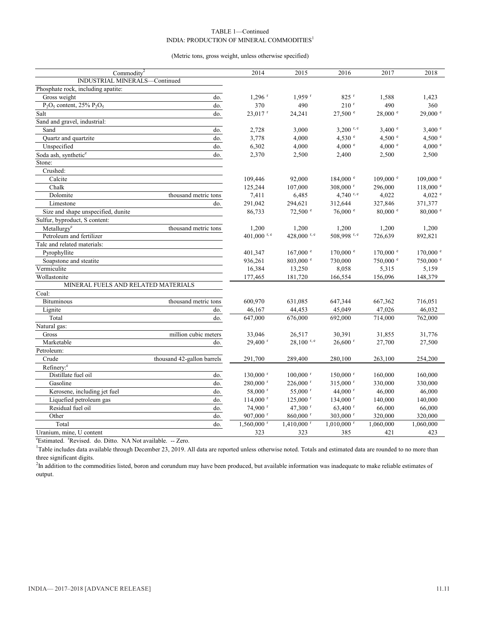#### TABLE 1—Continued INDIA: PRODUCTION OF MINERAL COMMODITIES<sup>1</sup>

#### (Metric tons, gross weight, unless otherwise specified)

| Commodity <sup>2</sup>                               |                            | 2014                     | 2015                     | 2016                     | 2017                | 2018                |
|------------------------------------------------------|----------------------------|--------------------------|--------------------------|--------------------------|---------------------|---------------------|
| INDUSTRIAL MINERALS-Continued                        |                            |                          |                          |                          |                     |                     |
| Phosphate rock, including apatite:                   |                            |                          |                          |                          |                     |                     |
| Gross weight                                         | do.                        | $1,296$ <sup>r</sup>     | $1,959$ <sup>r</sup>     | $825$ <sup>r</sup>       | 1,588               | 1,423               |
| $\overline{P_2O_5}$ content, 25% $\overline{P_2O_5}$ | do.                        | 370                      | 490                      | $210$ <sup>r</sup>       | 490                 | 360                 |
| Salt                                                 | do.                        | $23,017$ <sup>r</sup>    | 24,241                   | $27,500$ $\degree$       | 28,000 e            | $29,000$ e          |
| Sand and gravel, industrial:                         |                            |                          |                          |                          |                     |                     |
| Sand                                                 | do.                        | 2,728                    | 3,000                    | 3.200 r, $e$             | 3,400 °             | 3,400 °             |
| Quartz and quartzite                                 | do.                        | 3,778                    | 4,000                    | 4,530 °                  | 4,500 $^{\circ}$    | 4,500 $^{\circ}$    |
| Unspecified                                          | do.                        | 6,302                    | 4,000                    | 4,000 °                  | 4,000 °             | 4,000 °             |
| Soda ash, synthetic <sup>e</sup>                     | do.                        | 2,370                    | 2,500                    | 2,400                    | 2,500               | 2,500               |
| Stone:                                               |                            |                          |                          |                          |                     |                     |
| Crushed:                                             |                            |                          |                          |                          |                     |                     |
| Calcite                                              |                            | 109,446                  | 92,000                   | $184,000$ e              | $109,000$ $\degree$ | $109,000$ $\degree$ |
| Chalk                                                |                            | 125,244                  | 107,000                  | $308,000$ <sup>r</sup>   | 296,000             | $118,000$ $e$       |
| Dolomite                                             | thousand metric tons       | 7,411                    | 6,485                    | 4,740 $r, e$             | 4,022               | $4,022$ e           |
| Limestone                                            | do.                        | 291,042                  | 294,621                  | 312,644                  | 327,846             | 371,377             |
| Size and shape unspecified, dunite                   |                            | 86,733                   | $72,500$ $\degree$       | $76,000$ $\degree$       | $80,000$ $\degree$  | $80,000$ $^{\circ}$ |
| Sulfur, byproduct, S content:                        |                            |                          |                          |                          |                     |                     |
| Metallurgy <sup>e</sup>                              | thousand metric tons       | 1,200                    | 1,200                    | 1,200                    | 1,200               | 1,200               |
| Petroleum and fertilizer                             |                            | 401,000 r, e             | 428,000 r, e             | 508,998 r, e             | 726,639             | 892,821             |
| Talc and related materials:                          |                            |                          |                          |                          |                     |                     |
| Pyrophyllite                                         |                            | 401,347                  | $167,000$ $^{\circ}$     | $170,000$ $\degree$      | $170,000$ $\degree$ | $170,000$ $\degree$ |
| Soapstone and steatite                               |                            | 936,261                  | $803,000$ e              | 730,000                  | 750,000 °           | 750,000 °           |
| Vermiculite                                          |                            | 16,384                   | 13,250                   | 8,058                    | 5,315               | 5,159               |
| Wollastonite                                         |                            | 177,465                  | 181,720                  | 166,554                  | 156,096             | 148,379             |
| MINERAL FUELS AND RELATED MATERIALS                  |                            |                          |                          |                          |                     |                     |
| Coal:                                                |                            |                          |                          |                          |                     |                     |
| <b>Bituminous</b>                                    | thousand metric tons       | 600,970                  | 631,085                  | 647,344                  | 667,362             | 716,051             |
| Lignite                                              | do.                        | 46,167                   | 44,453                   | 45,049                   | 47,026              | 46,032              |
| Total                                                | do.                        | 647,000                  | 676,000                  | 692,000                  | 714,000             | 762,000             |
| Natural gas:                                         |                            |                          |                          |                          |                     |                     |
| Gross                                                | million cubic meters       | 33,046                   | 26,517                   | 30,391                   | 31,855              | 31,776              |
| Marketable                                           | do.                        | $29,400$ <sup>r</sup>    | $28,100$ r, e            | $26,600$ <sup>r</sup>    | 27,700              | 27,500              |
| Petroleum:                                           |                            |                          |                          |                          |                     |                     |
| Crude                                                | thousand 42-gallon barrels | 291,700                  | 289,400                  | 280,100                  | 263,100             | 254,200             |
| Refinery: <sup>e</sup>                               |                            |                          |                          |                          |                     |                     |
| Distillate fuel oil                                  | do.                        | $130,000$ <sup>r</sup>   | $100,000$ <sup>r</sup>   | $150,000$ <sup>r</sup>   | 160,000             | 160,000             |
| Gasoline                                             | do.                        | $280,000$ <sup>r</sup>   | $226,000$ <sup>r</sup>   | $315,000$ r              | 330,000             | 330,000             |
| Kerosene, including jet fuel                         | do.                        | 58,000 r                 | 55,000 $^{\rm r}$        | 44,000 $^{\rm r}$        | 46,000              | 46,000              |
| Liquefied petroleum gas                              | do.                        | $114,000$ <sup>r</sup>   | $125,000$ <sup>r</sup>   | $134,000$ <sup>r</sup>   | 140,000             | 140,000             |
| Residual fuel oil                                    | do.                        | $74,900$ <sup>r</sup>    | 47,300 <sup>r</sup>      | $63,400$ r               | 66,000              | 66,000              |
| Other                                                | do.                        | $907,000$ <sup>r</sup>   | $860,000$ <sup>r</sup>   | 303,000 $^{\rm r}$       | 320,000             | 320,000             |
| Total                                                | do.                        | $1,560,000$ <sup>r</sup> | $1,410,000$ <sup>r</sup> | $1,010,000$ <sup>r</sup> | 1,060,000           | 1,060,000           |
| Uranium, mine, U content                             |                            | 323                      | 323                      | 385                      | 421                 | 423                 |

<sup>e</sup>Estimated. <sup>r</sup>Revised. do. Ditto. NA Not available. -- Zero.

<sup>1</sup>Table includes data available through December 23, 2019. All data are reported unless otherwise noted. Totals and estimated data are rounded to no more than three significant digits.

<sup>2</sup>In addition to the commodities listed, boron and corundum may have been produced, but available information was inadequate to make reliable estimates of output.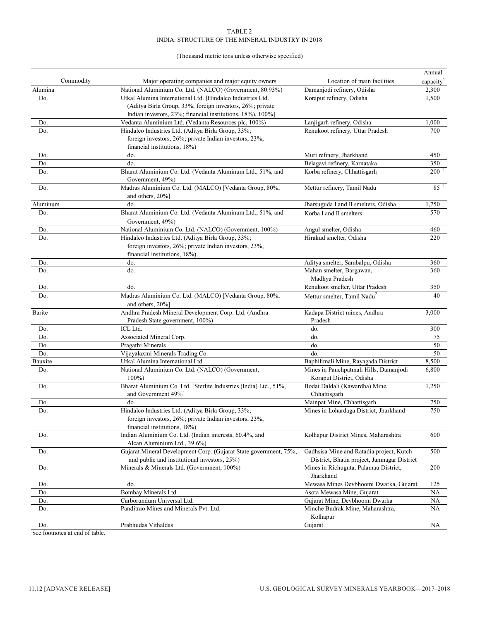#### (Thousand metric tons unless otherwise specified)

|            |                                                                   |                                                                    | Annual                  |
|------------|-------------------------------------------------------------------|--------------------------------------------------------------------|-------------------------|
| Commodity  | Major operating companies and major equity owners                 | Location of main facilities                                        | capacity <sup>e</sup>   |
| Alumina    | National Aluminium Co. Ltd. (NALCO) (Government, 80.93%)          | Damanjodi refinery, Odisha                                         | 2,300                   |
| Do.        | Utkal Alumina International Ltd. [Hindalco Industries Ltd.        | Koraput refinery, Odisha                                           | 1,500                   |
|            | (Aditya Birla Group, 33%; foreign investors, 26%; private         |                                                                    |                         |
|            | Indian investors, 23%; financial institutions, 18%), 100%]        |                                                                    |                         |
| Do.        | Vedanta Aluminium Ltd. (Vedanta Resources plc, 100%)              | Lanjigarh refinery, Odisha                                         | 1,000                   |
| Do.        | Hindalco Industries Ltd. (Aditya Birla Group, 33%;                | Renukoot refinery, Uttar Pradesh                                   | 700                     |
|            | foreign investors, 26%; private Indian investors, 23%;            |                                                                    |                         |
|            | financial institutions, 18%)                                      |                                                                    |                         |
| Do.<br>Do. | do.                                                               | Muri refinery, Jharkhand                                           | 450                     |
| Do.        | do.<br>Bharat Aluminium Co. Ltd. (Vedanta Aluminum Ltd., 51%, and | Belagavi refinery, Karnataka<br>Korba refinery, Chhattisgarh       | 350<br>200 <sup>1</sup> |
|            | Government, 49%)                                                  |                                                                    |                         |
| Do.        | Madras Aluminium Co. Ltd. (MALCO) [Vedanta Group, 80%,            | Mettur refinery, Tamil Nadu                                        | 85 <sup>1</sup>         |
|            | and others, 20%]                                                  |                                                                    |                         |
| Aluminum   | do.                                                               | Jharsuguda I and II smelters, Odisha                               | 1,750                   |
| Do.        | Bharat Aluminium Co. Ltd. (Vedanta Aluminum Ltd., 51%, and        | Korba I and II smelters <sup>1</sup>                               | 570                     |
|            | Government, 49%)                                                  |                                                                    |                         |
| Do.        | National Aluminium Co. Ltd. (NALCO) (Government, 100%)            | Angul smelter, Odisha                                              | 460                     |
| Do.        | Hindalco Industries Ltd. (Aditya Birla Group, 33%;                | Hirakud smelter, Odisha                                            | 220                     |
|            | foreign investors, 26%; private Indian investors, 23%;            |                                                                    |                         |
|            | financial institutions, 18%)                                      |                                                                    |                         |
| Do.        | do.                                                               | Aditya smelter, Sambalpu, Odisha                                   | 360                     |
| Do.        | do.                                                               | Mahan smelter, Bargawan,                                           | 360                     |
|            |                                                                   | Madhya Pradesh                                                     |                         |
| Do.        | do.                                                               | Renukoot smelter, Uttar Pradesh                                    | 350                     |
| Do.        | Madras Aluminium Co. Ltd. (MALCO) [Vedanta Group, 80%,            | Mettur smelter, Tamil Nadu <sup>2</sup>                            | 40                      |
|            | and others, 20%]                                                  |                                                                    |                         |
| Barite     | Andhra Pradesh Mineral Development Corp. Ltd. (Andhra             | Kadapa District mines, Andhra                                      | 3,000                   |
|            | Pradesh State government, 100%)                                   | Pradesh                                                            |                         |
| Do.        | ICL Ltd.                                                          | do.                                                                | 300                     |
| Do.        | Associated Mineral Corp.                                          | do.                                                                | 75                      |
| Do.        | Pragathi Minerals                                                 | do.                                                                | 50                      |
| Do.        | Vijayalaxmi Minerals Trading Co.                                  | do.                                                                | 50                      |
| Bauxite    | Utkal Alumina International Ltd.                                  | Baphilimali Mine, Rayagada District                                | 8,500                   |
| Do.        | National Aluminium Co. Ltd. (NALCO) (Government,<br>$100\%$       | Mines in Panchpatmali Hills, Damanjodi<br>Koraput District, Odisha | 6,800                   |
| Do.        | Bharat Aluminium Co. Ltd. [Sterlite Industries (India) Ltd., 51%, | Bodai Daldali (Kawardha) Mine,                                     | 1,250                   |
|            | and Government 49%]                                               | Chhattisgarh                                                       |                         |
| Do.        | do.                                                               | Mainpat Mine, Chhattisgarh                                         | 750                     |
| Do.        | Hindalco Industries Ltd. (Aditya Birla Group, 33%;                | Mines in Lohardaga District, Jharkhand                             | 750                     |
|            | foreign investors, 26%; private Indian investors, 23%;            |                                                                    |                         |
|            | financial institutions, 18%)                                      |                                                                    |                         |
| Do.        | Indian Aluminium Co. Ltd. (Indian interests, 60.4%, and           | Kolhapur District Mines, Maharashtra                               | 600                     |
|            | Alcan Aluminium Ltd., 39.6%)                                      |                                                                    |                         |
| Do.        | Gujarat Mineral Development Corp. (Gujarat State government, 75%, | Gadhsisa Mine and Ratadia project, Kutch                           | 500                     |
|            | and public and institutional investors, 25%)                      | District, Bhatia project, Jamnagar District                        |                         |
| Do.        | Minerals & Minerals Ltd. (Government, 100%)                       | Mines in Richuguta, Palamau District,<br>Jharkhand                 | 200                     |
| Do.        | do.                                                               | Mewasa Mines Devbhoomi Dwarka, Gujarat                             | 125                     |
| Do.        | Bombay Minerals Ltd.                                              | Asota Mewasa Mine, Gujarat                                         | NA                      |
| Do.        | Carborundum Universal Ltd.                                        | Gujarat Mine, Devbhoomi Dwarka                                     | NA                      |
| Do.        | Panditrao Mines and Minerals Pvt. Ltd.                            | Minche Budrak Mine, Maharashtra,<br>Kolhapur                       | NA.                     |
| Do.        | Prabhudas Vithaldas                                               | Gujarat                                                            | <b>NA</b>               |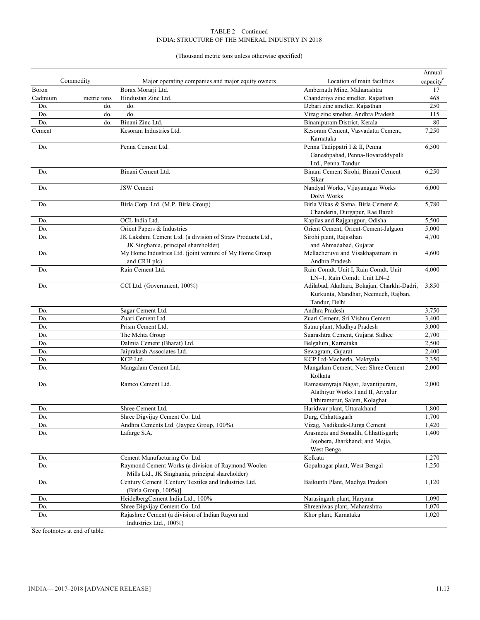(Thousand metric tons unless otherwise specified)

|         |             |                                                            |                                                 | Annual                |
|---------|-------------|------------------------------------------------------------|-------------------------------------------------|-----------------------|
|         | Commodity   | Major operating companies and major equity owners          | Location of main facilities                     | capacity <sup>e</sup> |
| Boron   |             | Borax Morarji Ltd.                                         | Ambernath Mine, Maharashtra                     | 17                    |
| Cadmium | metric tons | Hindustan Zinc Ltd.                                        | Chanderiya zinc smelter, Rajasthan              | 468                   |
| Do.     | do.         | do.                                                        | Debari zinc smelter, Rajasthan                  | 250                   |
| Do.     | do.         | do.                                                        | Vizag zinc smelter, Andhra Pradesh              | 115                   |
| Do.     | do.         | Binani Zinc Ltd.                                           | Binanipuram District, Kerala                    | 80                    |
| Cement  |             | Kesoram Industries Ltd.                                    | Kesoram Cement, Vasvadatta Cement,              | 7,250                 |
|         |             |                                                            | Karnataka                                       |                       |
| Do.     |             | Penna Cement Ltd.                                          | Penna Tadippatri I & II, Penna                  | 6,500                 |
|         |             |                                                            | Ganeshpahad, Penna-Boyareddypalli               |                       |
|         |             | Binani Cement Ltd.                                         | Ltd., Penna-Tandur                              |                       |
| Do.     |             |                                                            | Binani Cement Sirohi, Binani Cement<br>Sikar    | 6,250                 |
| Do.     |             | <b>JSW</b> Cement                                          | Nandyal Works, Vijayanagar Works<br>Dolvi Works | 6,000                 |
| Do.     |             | Birla Corp. Ltd. (M.P. Birla Group)                        | Birla Vikas & Satna, Birla Cement &             | 5,780                 |
|         |             |                                                            | Chanderia, Durgapur, Rae Bareli                 |                       |
| Do.     |             | OCL India Ltd.                                             | Kapilas and Rajgangpur, Odisha                  | 5,500                 |
| Do.     |             | Orient Papers & Industries                                 | Orient Cement, Orient-Cement-Jalgaon            | 5,000                 |
| Do.     |             | JK Lakshmi Cement Ltd. (a division of Straw Products Ltd., | Sirohi plant, Rajasthan                         | 4,700                 |
|         |             | JK Singhania, principal shareholder)                       | and Ahmadabad, Gujarat                          |                       |
| Do.     |             | My Home Industries Ltd. (joint venture of My Home Group    | Mellacheruvu and Visakhapatnam in               | 4,600                 |
|         |             | and CRH plc)                                               | Andhra Pradesh                                  |                       |
| Do.     |             | Rain Cement Ltd.                                           | Rain Comdt. Unit I, Rain Comdt. Unit            | 4,000                 |
|         |             |                                                            | LN-1, Rain Comdt. Unit LN-2                     |                       |
| Do.     |             | CCI Ltd. (Government, 100%)                                | Adilabad, Akaltara, Bokajan, Charkhi-Dadri,     | 3,850                 |
|         |             |                                                            | Kurkunta, Mandhar, Neemuch, Rajban,             |                       |
|         |             |                                                            | Tandur, Delhi                                   |                       |
| Do.     |             | Sagar Cement Ltd.                                          | Andhra Pradesh                                  | 3,750                 |
| Do.     |             | Zuari Cement Ltd.                                          | Zuari Cement, Sri Vishnu Cement                 | 3,400                 |
| Do.     |             | Prism Cement Ltd.                                          | Satna plant, Madhya Pradesh                     | 3,000                 |
| Do.     |             | The Mehta Group                                            | Suarashtra Cement, Gujarat Sidhee               | 2,700                 |
| Do.     |             | Dalmia Cement (Bharat) Ltd.                                | Belgalum, Karnataka                             | 2,500                 |
| Do.     |             | Jaiprakash Associates Ltd.                                 | Sewagram, Gujarat                               | 2,400                 |
| Do.     |             | KCP Ltd.                                                   | KCP Ltd-Macherla, Maktyala                      | 2,350                 |
| Do.     |             | Mangalam Cement Ltd.                                       | Mangalam Cement, Neer Shree Cement<br>Kolkata   | 2,000                 |
| Do.     |             | Ramco Cement Ltd.                                          | Ramasamyraja Nagar, Jayantipuram,               | 2,000                 |
|         |             |                                                            | Alathiyur Works I and II, Ariyalur              |                       |
|         |             |                                                            | Uthiramerur, Salem, Kolaghat                    |                       |
| Do.     |             | Shree Cement Ltd.                                          | Haridwar plant, Uttarakhand                     | 1,800                 |
| Do.     |             | Shree Digvijay Cement Co. Ltd.                             | Durg, Chhattisgarh                              | 1,700                 |
| Do.     |             | Andhra Cements Ltd. (Jaypee Group, 100%)                   | Vizag, Nadikude-Durga Cement                    | 1,420                 |
| Do.     |             | Lafarge S.A.                                               | Arasmeta and Sonadih, Chhattisgarh;             | 1,400                 |
|         |             |                                                            | Jojobera, Jharkhand; and Mejia,                 |                       |
|         |             |                                                            | West Benga                                      |                       |
| Do.     |             | Cement Manufacturing Co. Ltd.                              | Kolkata                                         | 1,270                 |
| Do.     |             | Raymond Cement Works (a division of Raymond Woolen         | Gopalnagar plant, West Bengal                   | 1,250                 |
|         |             | Mills Ltd., JK Singhania, principal shareholder)           |                                                 |                       |
| Do.     |             | Century Cement [Century Textiles and Industries Ltd.       | Baikunth Plant, Madhya Pradesh                  | 1,120                 |
|         |             | (Birla Group, 100%)]                                       |                                                 |                       |
| Do.     |             | HeidelbergCement India Ltd., 100%                          | Narasingarh plant, Haryana                      | 1,090                 |
| Do.     |             | Shree Digvijay Cement Co. Ltd.                             | Shreeniwas plant, Maharashtra                   | 1,070                 |
| Do.     |             | Rajashree Cement (a division of Indian Rayon and           | Khor plant, Karnataka                           | 1,020                 |
|         |             | Industries Ltd., 100%)                                     |                                                 |                       |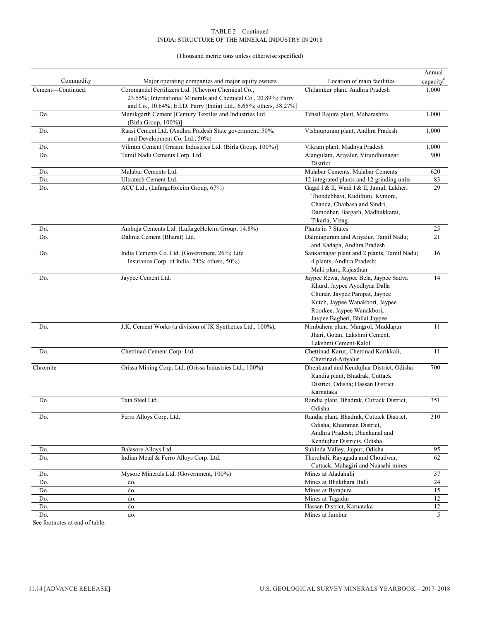(Thousand metric tons unless otherwise specified)

|                   |                                                                                                                                                       |                                                                                                                                                                                                            | Annual                |
|-------------------|-------------------------------------------------------------------------------------------------------------------------------------------------------|------------------------------------------------------------------------------------------------------------------------------------------------------------------------------------------------------------|-----------------------|
| Commodity         | Major operating companies and major equity owners                                                                                                     | Location of main facilities                                                                                                                                                                                | capacity <sup>e</sup> |
| Cement-Continued: | Coromandel Fertilizers Ltd. [Chevron Chemical Co.,<br>23.55%; International Minerals and Chemical Co., 20.89%; Parry                                  | Chilamkur plant, Andhra Pradesh                                                                                                                                                                            | 1,000                 |
| Do.               | and Co., 10.64%; E.I.D. Parry (India) Ltd., 6.65%; others, 38.27%]<br>Manikgarth Cement [Century Textiles and Industries Ltd.<br>(Birla Group, 100%)] | Tehsil Rajura plant, Maharashtra                                                                                                                                                                           | 1,000                 |
| Do.               | Raasi Cement Ltd. (Andhra Pradesh State government, 50%,<br>and Development Co. Ltd., 50%)                                                            | Vishnupuram plant, Andhra Pradesh                                                                                                                                                                          | 1,000                 |
| Do.               | Vikram Cement [Grasim Industries Ltd. (Birla Group, 100%)]                                                                                            | Vikram plant, Madhya Pradesh                                                                                                                                                                               | 1,000                 |
| Do.               | Tamil Nadu Cements Corp. Ltd.                                                                                                                         | Alangulam, Ariyalur, Virundhunagar<br>District                                                                                                                                                             | 900                   |
| Do.               | Malabar Cements Ltd.                                                                                                                                  | Malabar Cements, Malabar Cements                                                                                                                                                                           | 620                   |
| Do.               | Ultratech Cement Ltd.                                                                                                                                 | 12 integrated plants and 12 grinding units                                                                                                                                                                 | 83                    |
| Do.               | ACC Ltd., (LafargeHolcim Group, 67%)                                                                                                                  | Gagal I & II, Wadi I & II, Jamul, Lakheri<br>Thondebhavi, Kudithini, Kymore,<br>Chanda, Chaibasa and Sindri,<br>Damodhar, Bargarh, Madhukkarai,<br>Tikaria, Vizag                                          | 29                    |
| Do.               | Ambuja Cements Ltd. (LafargeHolcim Group, 14.8%)                                                                                                      | Plants in 7 States                                                                                                                                                                                         | 25                    |
| Do.               | Dalmia Cement (Bharat) Ltd.                                                                                                                           | Dalmiapuram and Ariyalur, Tamil Nadu;<br>and Kadapa, Andhra Pradesh                                                                                                                                        | 21                    |
| Do.               | India Cements Co. Ltd. (Government, 26%; Life<br>Insurance Corp. of India, 24%; others, 50%)                                                          | Sankarnagar plant and 2 plants, Tamil Nadu;<br>4 plants, Andhra Pradesh;<br>Mahi plant, Rajasthan                                                                                                          | 16                    |
| Do.               | Jaypee Cement Ltd.                                                                                                                                    | Jaypee Rewa, Jaypee Bela, Jaypee Sadva<br>Khurd, Jaypee Ayodhyaa Dalla<br>Chunar, Jaypee Panipat, Jaypee<br>Kutch, Jaypee Wanakbori, Jaypee<br>Roorkee, Jaypee Wanakbori,<br>Jaypee Bagheri, Bhilai Jaypee | 14                    |
| Do.               | J.K. Cement Works (a division of JK Synthetics Ltd., 100%),                                                                                           | Nimbahera plant, Mangrol, Muddapur<br>Jhari, Gotan, Lakshmi Cement,<br>Lakshmi Cement-Kalol                                                                                                                | 11                    |
| Do.               | Chettinad Cement Corp. Ltd.                                                                                                                           | Chettinad-Karur, Chettinad Karikkali,<br>Chettinad-Ariyalur                                                                                                                                                | 11                    |
| Chromite          | Orissa Mining Corp. Ltd. (Orissa Industries Ltd., 100%)                                                                                               | Dhenkanal and Kendujhar District, Odisha<br>Randia plant, Bhadrak, Cuttack<br>District, Odisha; Hassan District<br>Karnataka                                                                               | 700                   |
| Do.               | Tata Steel Ltd.                                                                                                                                       | Randia plant, Bhadrak, Cuttack District,<br>Odisha                                                                                                                                                         | 351                   |
| Do.               | Ferro Alloys Corp. Ltd.                                                                                                                               | Randia plant, Bhadrak, Cuttack District,<br>Odisha; Khamman District,<br>Andhra Pradesh; Dhenkanal and<br>Kendujhar Districts, Odisha                                                                      | 310                   |
| Do.               | Balasore Alloys Ltd.                                                                                                                                  | Sukinda Valley, Jajpur, Odisha                                                                                                                                                                             | 95                    |
| Do.               | Indian Metal & Ferro Alloys Corp. Ltd.                                                                                                                | Therubali, Rayagada and Choudwar,<br>Cuttack, Mahagiri and Nuasahi mines                                                                                                                                   | 62                    |
| Do.               | Mysore Minerals Ltd. (Government, 100%)                                                                                                               | Mines at Aladahalli                                                                                                                                                                                        | 37                    |
| Do.               | do.                                                                                                                                                   | Mines at Bhakthara Halli                                                                                                                                                                                   | 24                    |
| Do.               | do.                                                                                                                                                   | Mines at Byrapura                                                                                                                                                                                          | 15                    |
| Do.               | do.                                                                                                                                                   | Mines at Tagadur                                                                                                                                                                                           | 12                    |
| Do.               | do.                                                                                                                                                   | Hassan District, Karnataka                                                                                                                                                                                 | 12                    |
| Do.               | do.                                                                                                                                                   | Mines at Jambur                                                                                                                                                                                            | 5                     |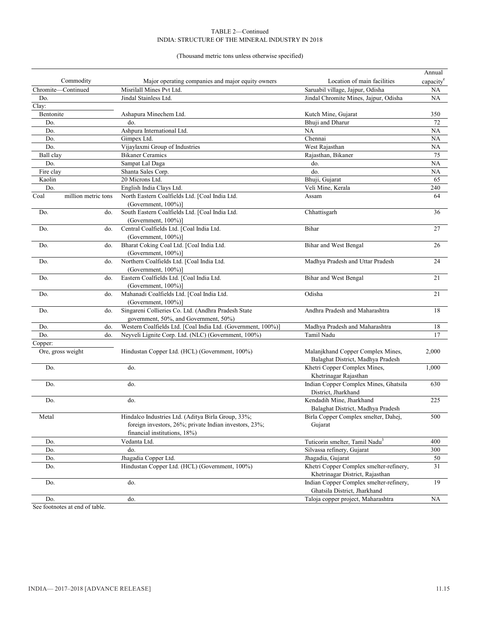(Thousand metric tons unless otherwise specified)

|           |                     |                                                              |                                            | Annual                |
|-----------|---------------------|--------------------------------------------------------------|--------------------------------------------|-----------------------|
|           | Commodity           | Major operating companies and major equity owners            | Location of main facilities                | capacity <sup>e</sup> |
|           | Chromite-Continued  | Misrilall Mines Pvt Ltd.                                     | Saruabil village, Jajpur, Odisha           | NA                    |
| Do.       |                     | Jindal Stainless Ltd.                                        | Jindal Chromite Mines, Jajpur, Odisha      | NA                    |
| Clay:     |                     |                                                              |                                            |                       |
| Bentonite |                     | Ashapura Minechem Ltd.                                       | Kutch Mine, Gujarat                        | 350                   |
| Do.       |                     | do.                                                          | Bhuji and Dharur                           | 72                    |
| Do.       |                     | Ashpura International Ltd.                                   | NA                                         | NA                    |
| Do.       |                     | Gimpex Ltd.                                                  | Chennai                                    | NA                    |
| Do.       |                     | Vijaylaxmi Group of Industries                               | West Rajasthan                             | NA                    |
| Ball clay |                     | <b>Bikaner Ceramics</b>                                      | Rajasthan, Bikaner                         | 75                    |
| Do.       |                     | Sampat Lal Daga                                              | do.                                        | NA                    |
| Fire clay |                     | Shanta Sales Corp.                                           | do.                                        | NA                    |
| Kaolin    |                     | 20 Microns Ltd.                                              | Bhuji, Gujarat                             | 65                    |
| Do.       |                     | English India Clays Ltd.                                     | Veli Mine, Kerala                          | 240                   |
| Coal      | million metric tons | North Eastern Coalfields Ltd. [Coal India Ltd.               | Assam                                      | 64                    |
|           |                     | (Government, 100%)]                                          |                                            |                       |
| Do.       | do.                 | South Eastern Coalfields Ltd. [Coal India Ltd.               | Chhattisgarh                               | 36                    |
|           |                     | (Government, 100%)]                                          |                                            |                       |
| Do.       | do.                 | Central Coalfields Ltd. [Coal India Ltd.                     | Bihar                                      | 27                    |
|           |                     | (Government, $100\%)$ )                                      |                                            |                       |
| Do.       | do.                 | Bharat Coking Coal Ltd. [Coal India Ltd.                     | <b>Bihar and West Bengal</b>               | 26                    |
|           |                     | (Government, 100%)]                                          |                                            |                       |
| Do.       | do.                 | Northern Coalfields Ltd. [Coal India Ltd.                    | Madhya Pradesh and Uttar Pradesh           | 24                    |
|           |                     | (Government, $100\%)$ )                                      |                                            |                       |
| Do.       | do.                 | Eastern Coalfields Ltd. [Coal India Ltd.                     | Bihar and West Bengal                      | 21                    |
|           |                     | (Government, 100%)]                                          |                                            |                       |
| Do.       | do.                 | Mahanadi Coalfields Ltd. [Coal India Ltd.                    | Odisha                                     | 21                    |
|           |                     | (Government, 100%)]                                          |                                            |                       |
| Do.       | do.                 | Singareni Collieries Co. Ltd. (Andhra Pradesh State          | Andhra Pradesh and Maharashtra             | 18                    |
|           |                     | government, 50%, and Government, 50%)                        |                                            |                       |
| Do.       | do.                 | Western Coalfields Ltd. [Coal India Ltd. (Government, 100%)] | Madhya Pradesh and Maharashtra             | 18                    |
| Do.       | do.                 | Neyveli Lignite Corp. Ltd. (NLC) (Government, 100%)          | Tamil Nadu                                 | 17                    |
| Copper:   |                     |                                                              |                                            |                       |
|           | Ore, gross weight   | Hindustan Copper Ltd. (HCL) (Government, 100%)               | Malanjkhand Copper Complex Mines,          | 2,000                 |
|           |                     |                                                              | Balaghat District, Madhya Pradesh          |                       |
| Do.       |                     | do.                                                          | Khetri Copper Complex Mines,               | 1,000                 |
|           |                     |                                                              | Khetrinagar Rajasthan                      |                       |
| Do.       |                     | do.                                                          | Indian Copper Complex Mines, Ghatsila      | 630                   |
|           |                     |                                                              | District, Jharkhand                        |                       |
| Do.       |                     | do.                                                          | Kendadih Mine, Jharkhand                   | 225                   |
|           |                     |                                                              | Balaghat District, Madhya Pradesh          |                       |
| Metal     |                     | Hindalco Industries Ltd. (Aditya Birla Group, 33%;           | Birla Copper Complex smelter, Dahej,       | 500                   |
|           |                     | foreign investors, 26%; private Indian investors, 23%;       | Gujarat                                    |                       |
|           |                     | financial institutions, 18%)                                 |                                            |                       |
| Do.       |                     | Vedanta Ltd.                                                 | Tuticorin smelter, Tamil Nadu <sup>3</sup> | 400                   |
| Do.       |                     | do.                                                          | Silvassa refinery, Gujarat                 | 300                   |
| Do.       |                     | Jhagadia Copper Ltd.                                         | Jhagadia, Gujarat                          | 50                    |
| Do.       |                     | Hindustan Copper Ltd. (HCL) (Government, 100%)               | Khetri Copper Complex smelter-refinery,    | 31                    |
|           |                     |                                                              | Khetrinagar District, Rajasthan            |                       |
| Do.       |                     | do.                                                          | Indian Copper Complex smelter-refinery,    | 19                    |
|           |                     |                                                              | Ghatsila District, Jharkhand               |                       |
| Do.       |                     | do.                                                          | Taloja copper project, Maharashtra         | $\rm NA$              |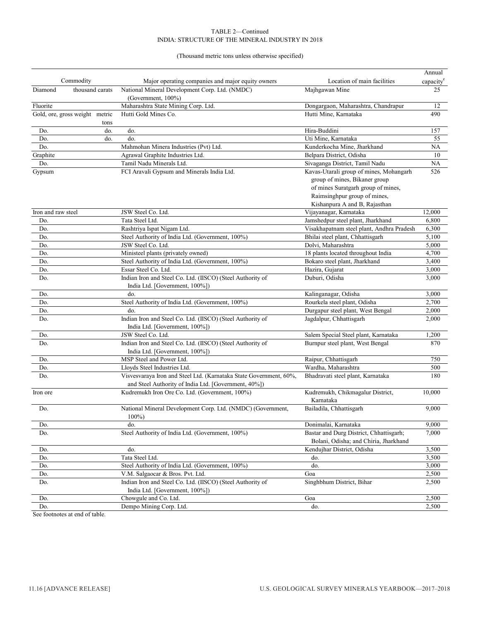(Thousand metric tons unless otherwise specified)

|                    |                                |                                                                                                                            |                                           | Annual                |
|--------------------|--------------------------------|----------------------------------------------------------------------------------------------------------------------------|-------------------------------------------|-----------------------|
|                    | Commodity                      | Major operating companies and major equity owners                                                                          | Location of main facilities               | capacity <sup>e</sup> |
| Diamond            | thousand carats                | National Mineral Development Corp. Ltd. (NMDC)<br>(Government, 100%)                                                       | Majhgawan Mine                            | 25                    |
| Fluorite           |                                | Maharashtra State Mining Corp. Ltd.                                                                                        | Dongargaon, Maharashtra, Chandrapur       | 12                    |
|                    | Gold, ore, gross weight metric | Hutti Gold Mines Co.                                                                                                       | Hutti Mine, Karnataka                     | 490                   |
|                    | tons                           |                                                                                                                            |                                           |                       |
| Do.                | do.                            | do.                                                                                                                        | Hira-Buddini                              | 157                   |
| Do.                | do.                            | do.                                                                                                                        | Uti Mine, Karnataka                       | 55                    |
| Do.                |                                | Mahmohan Minera Industries (Pvt) Ltd.                                                                                      | Kunderkocha Mine, Jharkhand               | NA                    |
| Graphite           |                                | Agrawal Graphite Industries Ltd.                                                                                           | Belpara District, Odisha                  | 10                    |
| Do.                |                                | Tamil Nadu Minerals Ltd.                                                                                                   | Sivaganga District, Tamil Nadu            | NA                    |
| Gypsum             |                                | FCI Aravali Gypsum and Minerals India Ltd.                                                                                 | Kavas-Utarali group of mines, Mohangarh   | 526                   |
|                    |                                |                                                                                                                            | group of mines, Bikaner group             |                       |
|                    |                                |                                                                                                                            | of mines Suratgarh group of mines,        |                       |
|                    |                                |                                                                                                                            | Raimsinghpur group of mines,              |                       |
|                    |                                |                                                                                                                            | Kishanpura A and B, Rajasthan             |                       |
| Iron and raw steel |                                | JSW Steel Co. Ltd.                                                                                                         | Vijayanagar, Karnataka                    | 12,000                |
| Do.                |                                | Tata Steel Ltd.                                                                                                            | Jamshedpur steel plant, Jharkhand         | 6,800                 |
| Do.                |                                | Rashtriya Ispat Nigam Ltd.                                                                                                 | Visakhapatnam steel plant, Andhra Pradesh | 6,300                 |
| Do.                |                                | Steel Authority of India Ltd. (Government, 100%)                                                                           | Bhilai steel plant, Chhattisgarh          | 5,100                 |
| Do.                |                                | JSW Steel Co. Ltd.                                                                                                         | Dolvi, Maharashtra                        | 5,000                 |
| Do.                |                                | Ministeel plants (privately owned)                                                                                         | 18 plants located throughout India        | 4,700                 |
| Do.                |                                | Steel Authority of India Ltd. (Government, 100%)                                                                           | Bokaro steel plant, Jharkhand             | 3,400                 |
| Do.                |                                | Essar Steel Co. Ltd.                                                                                                       | Hazira, Gujarat                           | 3,000                 |
| Do.                |                                | Indian Iron and Steel Co. Ltd. (IISCO) (Steel Authority of<br>India Ltd. [Government, 100%])                               | Duburi, Odisha                            | 3,000                 |
| Do.                |                                | do.                                                                                                                        | Kalinganagar, Odisha                      | 3,000                 |
| Do.                |                                | Steel Authority of India Ltd. (Government, 100%)                                                                           | Rourkela steel plant, Odisha              | 2,700                 |
| Do.                |                                | do.                                                                                                                        | Durgapur steel plant, West Bengal         | 2,000                 |
| Do.                |                                | Indian Iron and Steel Co. Ltd. (IISCO) (Steel Authority of                                                                 | Jagdalpur, Chhattisgarh                   | 2,000                 |
|                    |                                | India Ltd. [Government, 100%])                                                                                             |                                           |                       |
| Do.                |                                | JSW Steel Co. Ltd.                                                                                                         | Salem Special Steel plant, Karnataka      | 1,200                 |
| Do.                |                                | Indian Iron and Steel Co. Ltd. (IISCO) (Steel Authority of                                                                 | Burnpur steel plant, West Bengal          | 870                   |
|                    |                                | India Ltd. [Government, 100%])                                                                                             |                                           |                       |
| Do.                |                                | MSP Steel and Power Ltd.                                                                                                   | Raipur, Chhattisgarh                      | 750                   |
| Do.                |                                | Lloyds Steel Industries Ltd.                                                                                               | Wardha, Maharashtra                       | 500                   |
| Do.                |                                | Visvesvaraya Iron and Steel Ltd. (Karnataka State Government, 60%,<br>and Steel Authority of India Ltd. [Government, 40%]) | Bhadravati steel plant, Karnataka         | 180                   |
| Iron ore           |                                | Kudremukh Iron Ore Co. Ltd. (Government, 100%)                                                                             | Kudremukh, Chikmagalur District,          | 10,000                |
|                    |                                |                                                                                                                            | Karnataka                                 |                       |
| Do.                |                                | National Mineral Development Corp. Ltd. (NMDC) (Government,<br>$100\%$                                                     | Bailadila, Chhattisgarh                   | 9,000                 |
| Do.                |                                | do.                                                                                                                        | Donimalai, Karnataka                      | 9,000                 |
| Do.                |                                | Steel Authority of India Ltd. (Government, 100%)                                                                           | Bastar and Durg District, Chhattisgarh;   | 7,000                 |
|                    |                                |                                                                                                                            | Bolani, Odisha; and Chiria, Jharkhand     |                       |
| Do.                |                                | do.                                                                                                                        | Kendujhar District, Odisha                | 3,500                 |
| Do.                |                                | Tata Steel Ltd.                                                                                                            | do.                                       | 3,500                 |
| Do.                |                                | Steel Authority of India Ltd. (Government, 100%)                                                                           | do.                                       | 3,000                 |
| Do.                |                                | V.M. Salgaocar & Bros. Pvt. Ltd.                                                                                           | Goa                                       | 2,500                 |
| Do.                |                                | Indian Iron and Steel Co. Ltd. (IISCO) (Steel Authority of                                                                 | Singhbhum District, Bihar                 | 2,500                 |
|                    |                                | India Ltd. [Government, 100%])                                                                                             |                                           |                       |
| Do.                |                                | Chowgule and Co. Ltd.                                                                                                      | Goa                                       | 2,500                 |
| Do.                |                                | Dempo Mining Corp. Ltd.                                                                                                    | do.                                       | 2,500                 |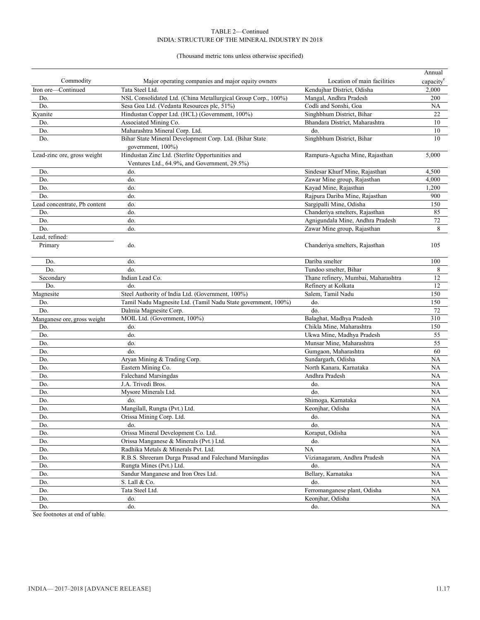#### (Thousand metric tons unless otherwise specified)

|                              |                                                                                                 |                                     | Annual                |
|------------------------------|-------------------------------------------------------------------------------------------------|-------------------------------------|-----------------------|
| Commodity                    | Major operating companies and major equity owners                                               | Location of main facilities         | capacity <sup>e</sup> |
| Iron ore-Continued           | Tata Steel Ltd.                                                                                 | Kendujhar District, Odisha          | 2,000                 |
| Do.                          | NSL Consolidated Ltd. (China Metallurgical Group Corp., 100%)                                   | Mangal, Andhra Pradesh              | 200                   |
| Do.                          | Sesa Goa Ltd. (Vedanta Resources plc, 51%)                                                      | Codli and Sonshi, Goa               | NA                    |
| Kyanite                      | Hindustan Copper Ltd. (HCL) (Government, 100%)                                                  | Singhbhum District, Bihar           | 22                    |
| Do.                          | Associated Mining Co.                                                                           | Bhandara District, Maharashtra      | 10                    |
| Do.                          | Maharashtra Mineral Corp. Ltd.                                                                  | do.                                 | 10                    |
| Do.                          | Bihar State Mineral Development Corp. Ltd. (Bihar State<br>government, 100%)                    | Singhbhum District, Bihar           | 10                    |
| Lead-zinc ore, gross weight  | Hindustan Zinc Ltd. (Sterlite Opportunities and<br>Ventures Ltd., 64.9%, and Government, 29.5%) | Rampura-Agucha Mine, Rajasthan      | 5,000                 |
| Do.                          | do.                                                                                             | Sindesar Khurf Mine, Rajasthan      | 4,500                 |
| Do.                          | do.                                                                                             | Zawar Mine group, Rajasthan         | 4,000                 |
| Do.                          | do.                                                                                             | Kayad Mine, Rajasthan               | 1,200                 |
| Do.                          | do.                                                                                             | Rajpura Dariba Mine, Rajasthan      | 900                   |
| Lead concentrate, Pb content | do.                                                                                             | Sargipalli Mine, Odisha             | 150                   |
| Do.                          | do.                                                                                             | Chanderiya smelters, Rajasthan      | 85                    |
| Do.                          | do.                                                                                             | Agnigundala Mine, Andhra Pradesh    | 72                    |
| Do.                          | do.                                                                                             | Zawar Mine group, Rajasthan         | 8                     |
| Lead. refined:               |                                                                                                 |                                     |                       |
| Primary                      | do.                                                                                             | Chanderiya smelters, Rajasthan      | 105                   |
| Do.                          | do.                                                                                             | Dariba smelter                      | 100                   |
| Do.                          | do.                                                                                             | Tundoo smelter, Bihar               | 8                     |
| Secondary                    | Indian Lead Co.                                                                                 | Thane refinery, Mumbai, Maharashtra | 12                    |
| Do.                          | do.                                                                                             | Refinery at Kolkata                 | 12                    |
| Magnesite                    | Steel Authority of India Ltd. (Government, 100%)                                                | Salem, Tamil Nadu                   | 150                   |
| Do.                          | Tamil Nadu Magnesite Ltd. (Tamil Nadu State government, 100%)                                   | do.                                 | 150                   |
| Do.                          | Dalmia Magnesite Corp.                                                                          | do.                                 | 72                    |
| Manganese ore, gross weight  | MOIL Ltd. (Government, 100%)                                                                    | Balaghat, Madhya Pradesh            | 310                   |
| Do.                          | do.                                                                                             | Chikla Mine, Maharashtra            | 150                   |
| Do.                          | do.                                                                                             | Ukwa Mine, Madhya Pradesh           | 55                    |
| Do.                          | do.                                                                                             | Munsar Mine, Maharashtra            | 55                    |
| Do.                          | do.                                                                                             | Gumgaon, Maharashtra                | 60                    |
| Do.                          | Aryan Mining & Trading Corp.                                                                    | Sundargarh, Odisha                  | NA                    |
| Do.                          | Eastern Mining Co.                                                                              | North Kanara, Karnataka             | <b>NA</b>             |
| Do.                          | <b>Falechand Marsingdas</b>                                                                     | Andhra Pradesh                      | NA                    |
| Do.                          | J.A. Trivedi Bros.                                                                              | do.                                 | NA                    |
| Do.                          | Mysore Minerals Ltd.                                                                            | do.                                 | NA                    |
| Do.                          | do.                                                                                             | Shimoga, Karnataka                  | NA                    |
| Do.                          | Mangilall, Rungta (Pvt.) Ltd.                                                                   | Keonjhar, Odisha                    | NA                    |
| Do.                          | Orissa Mining Corp. Ltd.                                                                        | do.                                 | NA                    |
| Do.                          | do.                                                                                             | do.                                 | NA                    |
| Do.                          | Orissa Mineral Development Co. Ltd.                                                             | Koraput, Odisha                     | NA                    |
| Do.                          | Orissa Manganese & Minerals (Pvt.) Ltd.                                                         | do.                                 | NA                    |
| Do.                          | Radhika Metals & Minerals Pvt. Ltd.                                                             | <b>NA</b>                           | NA                    |
| Do.                          | R.B.S. Shreeram Durga Prasad and Falechand Marsingdas                                           | Vizianagaram, Andhra Pradesh        | NA                    |
| Do.                          | Rungta Mines (Pvt.) Ltd.                                                                        | do.                                 | NA                    |
| Do.                          | Sandur Manganese and Iron Ores Ltd.                                                             | Bellary, Karnataka                  | NА                    |
| Do.                          | S. Lall & Co.                                                                                   | do.                                 | NA                    |
| Do.                          | Tata Steel Ltd.                                                                                 | Ferromanganese plant, Odisha        | NA                    |
| Do.                          | do.                                                                                             | Keonjhar, Odisha                    | NA                    |
| Do.                          | do.                                                                                             | do.                                 | NA                    |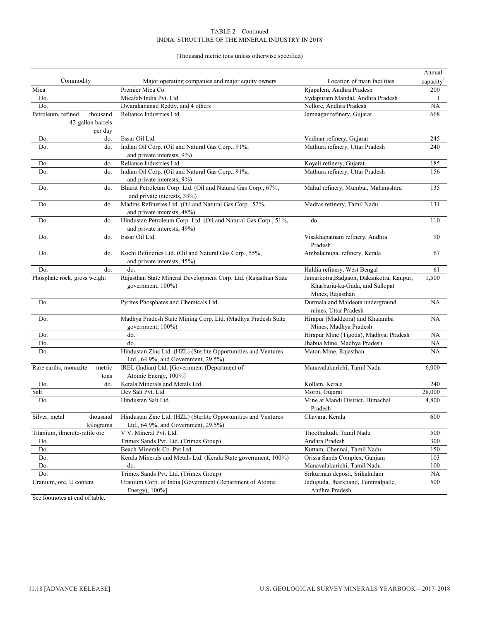(Thousand metric tons unless otherwise specified)

|               |                                                     |                                                                                                       |                                                                                                 | Annual                |
|---------------|-----------------------------------------------------|-------------------------------------------------------------------------------------------------------|-------------------------------------------------------------------------------------------------|-----------------------|
|               | Commodity                                           | Major operating companies and major equity owners                                                     | Location of main facilities                                                                     | capacity <sup>e</sup> |
| Mica          |                                                     | Premier Mica Co.                                                                                      | Rjupalem, Andhra Pradesh                                                                        | 200                   |
| Do.           |                                                     | Micafab India Pvt. Ltd.                                                                               | Sydapuram Mandal, Andhra Pradesh                                                                | 1                     |
| Do.           |                                                     | Dwarakananad Reddy, and 4 others                                                                      | Nellore, Andhra Pradesh                                                                         | NA                    |
|               | Petroleum, refined<br>thousand<br>42-gallon barrels | Reliance Industries Ltd.                                                                              | Jamnagar refinery, Gujarat                                                                      | 668                   |
| Do.           | per day<br>do.                                      | Essar Oil Ltd.                                                                                        | Vadinar refinery, Gujarat                                                                       | 245                   |
| Do.           | do.                                                 | Indian Oil Corp. (Oil and Natural Gas Corp., 91%,<br>and private interests, 9%)                       | Mathura refinery, Uttar Pradesh                                                                 | 240                   |
| Do.           | do.                                                 | Reliance Industries Ltd.                                                                              | Koyali refinery, Gujarat                                                                        | 185                   |
| Do.           | do.                                                 | Indian Oil Corp. (Oil and Natural Gas Corp., 91%,<br>and private interests, 9%)                       | Mathura refinery, Uttar Pradesh                                                                 | 156                   |
| Do.           | do.                                                 | Bharat Petroleum Corp. Ltd. (Oil and Natural Gas Corp., 67%,<br>and private interests, 33%)           | Mahul refinery, Mumbai, Maharashtra                                                             | 135                   |
| Do.           | do.                                                 | Madras Refineries Ltd. (Oil and Natural Gas Corp., 52%,<br>and private interests, 48%)                | Madras refinery, Tamil Nadu                                                                     | 131                   |
| Do.           | do.                                                 | Hindustan Petroleum Corp. Ltd. (Oil and Natural Gas Corp., 51%,<br>and private interests, 49%)        | do.                                                                                             | 110                   |
| Do.           | do.                                                 | Essar Oil Ltd.                                                                                        | Visakhapatnam refinery, Andhra<br>Pradesh                                                       | 90                    |
| Do.           | do.                                                 | Kochi Refineries Ltd. (Oil and Natural Gas Corp., 55%,<br>and private interests, 45%)                 | Ambalamugal refinery, Kerala                                                                    | 67                    |
| Do.           | do.                                                 | do.                                                                                                   | Haldia refinery, West Bengal                                                                    | 61                    |
|               | Phosphate rock, gross weight                        | Rajasthan State Mineral Development Corp. Ltd. (Rajasthan State<br>government, 100%)                  | Jamarkotra, Badgaon, Dakankotra, Kanpur,<br>Kharbaria-ka-Guda, and Sallopat<br>Mines, Rajasthan | 1,500                 |
| Do.           |                                                     | Pyrites Phosphates and Chemicals Ltd.                                                                 | Durmala and Maldeota underground<br>mines, Uttar Pradesh                                        | <b>NA</b>             |
| Do.           |                                                     | Madhya Pradesh State Mining Corp. Ltd. (Madhya Pradesh State<br>government, 100%)                     | Hirapur (Maddeora) and Khatamba<br>Mines, Madhya Pradesh                                        | <b>NA</b>             |
| Do.           |                                                     | do.                                                                                                   | Hirapur Mine (Tigoda), Madhya, Pradesh                                                          | <b>NA</b>             |
| Do.           |                                                     | do.                                                                                                   | Jhabua Mine, Madhya Pradesh                                                                     | NA                    |
| Do.           |                                                     | Hindustan Zinc Ltd. (HZL) (Sterlite Opportunities and Ventures<br>Ltd., 64.9%, and Government, 29.5%) | Maton Mine, Rajasthan                                                                           | NA                    |
|               | Rare earths, monazite<br>metric<br>tons             | IREL (Indian) Ltd. [Government (Department of<br>Atomic Energy, 100%]                                 | Manavalakurichi, Tamil Nadu                                                                     | 6,000                 |
| Do.           | do.                                                 | Kerala Minerals and Metals Ltd.                                                                       | Kollam, Kerala                                                                                  | 240                   |
| Salt          |                                                     | Dev Salt Pvt. Ltd                                                                                     | Morbi, Gujarat                                                                                  | 28,000                |
| Do.           |                                                     | Hindustan Salt Ltd.                                                                                   | Mine at Mandi District, Himachal<br>Pradesh                                                     | 4,800                 |
| Silver, metal | thousand<br>kilograms                               | Hindustan Zinc Ltd. (HZL) (Sterlite Opportunities and Ventures<br>Ltd., 64.9%, and Government, 29.5%) | Chavara, Kerala                                                                                 | 600                   |
|               | Titanium, ilmenite-rutile ore                       | V.V. Mineral Pvt. Ltd.                                                                                | Thoothukudi, Tamil Nadu                                                                         | 500                   |
| Do.           |                                                     | Trimex Sands Pvt. Ltd. (Trimex Group)                                                                 | Andhra Pradesh                                                                                  | 300                   |
| Do.           |                                                     | Beach Minerals Co. Pvt.Ltd.                                                                           | Kuttam, Chennai, Tamil Nadu                                                                     | 150                   |
| Do.           |                                                     | Kerala Minerals and Metals Ltd. (Kerala State government, 100%)                                       | Orissa Sands Complex, Ganjam                                                                    | 103                   |
| Do.           |                                                     | do.                                                                                                   | Manavalakurichi, Tamil Nadu                                                                     | 100                   |
| Do.           |                                                     | Trimex Sands Pvt. Ltd. (Trimex Group)                                                                 | Sirkurman deposit, Srikakulam                                                                   | NA                    |
|               | Uranium, ore, U content                             | Uranium Corp. of India [Government (Department of Atomic<br>Energy), 100%]                            | Jaduguda, Jharkhand, Tummalpalle,<br>Andhra Pradesh                                             | 500                   |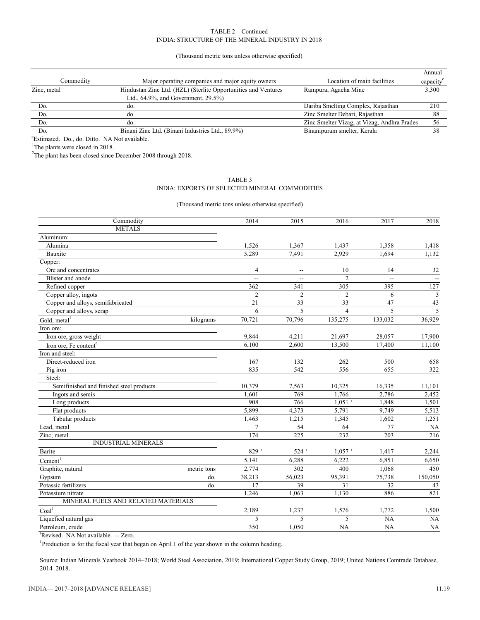(Thousand metric tons unless otherwise specified)

|             |                                                                |                                             | Annual   |
|-------------|----------------------------------------------------------------|---------------------------------------------|----------|
| Commodity   | Major operating companies and major equity owners              | Location of main facilities                 | capacity |
| Zinc, metal | Hindustan Zinc Ltd. (HZL) (Sterlite Opportunities and Ventures | Rampura, Agacha Mine                        | 3,300    |
|             | Ltd., $64.9\%$ , and Government, $29.5\%$ )                    |                                             |          |
| Do.         | do.                                                            | Dariba Smelting Complex, Rajasthan          | 210      |
| Do.         | do.                                                            | Zinc Smelter Debari, Rajasthan              | 88       |
| Do.         | do.                                                            | Zinc Smelter Vizag, at Vizag, Andhra Prades | 56       |
| Do.         | Binani Zinc Ltd. (Binani Industries Ltd., 89.9%)               | Binanipuram smelter, Kerala                 |          |

e Estimated. Do., do. Ditto. NA Not available.

<sup>1</sup>The plants were closed in 2018.

 $2$ The plant has been closed since December 2008 through 2018.

#### TABLE 3 INDIA: EXPORTS OF SELECTED MINERAL COMMODITIES

(Thousand metric tons unless otherwise specified)

| Commodity                                |             | 2014             | 2015               | 2016                 | 2017    | 2018                     |
|------------------------------------------|-------------|------------------|--------------------|----------------------|---------|--------------------------|
| <b>METALS</b>                            |             |                  |                    |                      |         |                          |
| Aluminum:                                |             |                  |                    |                      |         |                          |
| Alumina                                  |             | 1,526            | 1,367              | 1,437                | 1,358   | 1,418                    |
| Bauxite                                  |             | 5,289            | 7,491              | 2,929                | 1.694   | 1,132                    |
| Copper:                                  |             |                  |                    |                      |         |                          |
| Ore and concentrates                     |             | $\overline{4}$   | $\sim$             | 10                   | 14      | 32                       |
| Blister and anode                        |             | Ξ.               | $\overline{a}$     | $\overline{2}$       |         | $\overline{\phantom{a}}$ |
| Refined copper                           |             | 362              | 341                | 305                  | 395     | 127                      |
| Copper alloy, ingots                     |             | $\overline{2}$   | $\overline{2}$     | $\overline{2}$       | 6       | $\mathfrak{Z}$           |
| Copper and alloys, semifabricated        |             | 21               | 33                 | 33                   | 47      | 43                       |
| Copper and alloys, scrap                 |             | 6                | 5                  | $\overline{4}$       | 5       | 5                        |
| Gold, metal <sup>1</sup>                 | kilograms   | 70,721           | 70,796             | 135,275              | 133,032 | 36,929                   |
| Iron ore:                                |             |                  |                    |                      |         |                          |
| Iron ore, gross weight                   |             | 9,844            | 4,211              | 21,697               | 28,057  | 17,900                   |
| Iron ore, Fe content <sup>e</sup>        |             | 6,100            | 2.600              | 13,500               | 17,400  | 11,100                   |
| Iron and steel:                          |             |                  |                    |                      |         |                          |
| Direct-reduced iron                      |             | 167              | 132                | 262                  | 500     | 658                      |
| Pig iron                                 |             | 835              | 542                | 556                  | 655     | 322                      |
| Steel:                                   |             |                  |                    |                      |         |                          |
| Semifinished and finished steel products |             | 10,379           | 7,563              | 10,325               | 16,335  | 11,101                   |
| Ingots and semis                         |             | 1,601            | 769                | 1,766                | 2,786   | 2,452                    |
| Long products                            |             | 908              | 766                | $1,051$ <sup>r</sup> | 1,848   | 1,501                    |
| Flat products                            |             | 5,899            | 4,373              | 5,791                | 9,749   | 5,513                    |
| Tabular products                         |             | 1,463            | 1,215              | 1,345                | 1,602   | 1,251                    |
| Lead, metal                              |             | 7                | 54                 | 64                   | 77      | NA                       |
| Zinc, metal                              |             | 174              | 225                | 232                  | 203     | 216                      |
| <b>INDUSTRIAL MINERALS</b>               |             |                  |                    |                      |         |                          |
| Barite                                   |             | 829 <sup>r</sup> | $524$ <sup>r</sup> | $1,057$ <sup>r</sup> | 1,417   | 2,244                    |
| Cement <sup>1</sup>                      |             | 5,141            | 6,288              | 6,222                | 6,851   | 6,650                    |
| Graphite, natural                        | metric tons | 2,774            | 302                | 400                  | 1,068   | 450                      |
| Gypsum                                   | do.         | 38,213           | 56,023             | 95,391               | 75,738  | 150,050                  |
| Potassic fertilizers                     | do.         | 17               | 39                 | 31                   | 32      | 43                       |
| Potassium nitrate                        |             | 1.246            | 1.063              | 1,130                | 886     | 821                      |
| MINERAL FUELS AND RELATED MATERIALS      |             |                  |                    |                      |         |                          |
| Coal <sup>1</sup>                        |             | 2,189            | 1,237              | 1,576                | 1,772   | 1,500                    |
| Liquefied natural gas                    |             | 5                | 5                  | 5                    | NA      | NA                       |
| Petroleum, crude                         |             | 350              | 1,050              | NA                   | NA      | NA                       |

<sup>r</sup>Revised. NA Not available. -- Zero.

<sup>1</sup>Production is for the fiscal year that began on April 1 of the year shown in the column heading.

Source: Indian Minerals Yearbook 2014–2018; World Steel Association, 2019; International Copper Study Group, 2019; United Nations Comtrade Database, 2014–2018.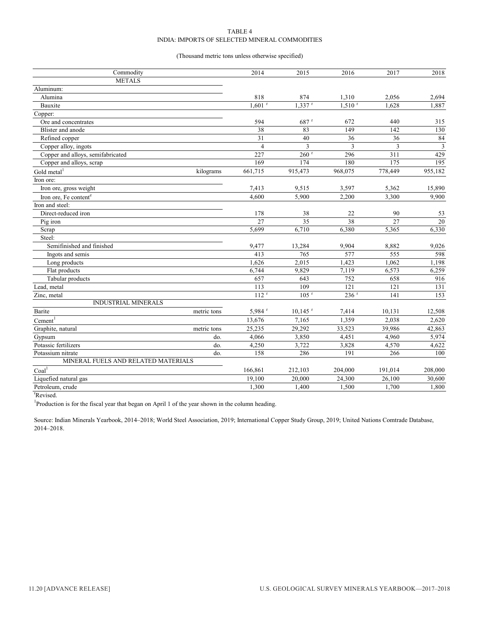#### TABLE 4 INDIA: IMPORTS OF SELECTED MINERAL COMMODITIES

#### (Thousand metric tons unless otherwise specified)

| Commodity                           |             | 2014                 | 2015                  | 2016               | 2017    | 2018           |
|-------------------------------------|-------------|----------------------|-----------------------|--------------------|---------|----------------|
| <b>METALS</b>                       |             |                      |                       |                    |         |                |
| Aluminum:                           |             |                      |                       |                    |         |                |
| Alumina                             |             | 818                  | 874                   | 1,310              | 2,056   | 2,694          |
| Bauxite                             |             | $1.601$ <sup>r</sup> | $1.337$ <sup>r</sup>  | 1.510 <sup>r</sup> | 1.628   | 1,887          |
| Copper:                             |             |                      |                       |                    |         |                |
| Ore and concentrates                |             | 594                  | $687$ <sup>r</sup>    | 672                | 440     | 315            |
| Blister and anode                   |             | 38                   | 83                    | 149                | 142     | 130            |
| Refined copper                      |             | 31                   | 40                    | 36                 | 36      | 84             |
| Copper alloy, ingots                |             | $\overline{4}$       | 3                     | $\overline{3}$     | 3       | $\mathfrak{Z}$ |
| Copper and alloys, semifabricated   |             | 227                  | $260$ <sup>r</sup>    | 296                | 311     | 429            |
| Copper and alloys, scrap            |             | 169                  | 174                   | 180                | 175     | 195            |
| Gold metal <sup>1</sup>             | kilograms   | 661,715              | 915,473               | 968,075            | 778,449 | 955,182        |
| Iron ore:                           |             |                      |                       |                    |         |                |
| Iron ore, gross weight              |             | 7,413                | 9,515                 | 3,597              | 5,362   | 15,890         |
| Iron ore, Fe content <sup>e</sup>   |             | 4,600                | 5,900                 | 2,200              | 3,300   | 9,900          |
| Iron and steel:                     |             |                      |                       |                    |         |                |
| Direct-reduced iron                 |             | 178                  | 38                    | 22                 | 90      | 53             |
| Pig iron                            |             | 27                   | 35                    | 38                 | 27      | 20             |
| Scrap                               |             | 5,699                | 6,710                 | 6,380              | 5,365   | 6,330          |
| Steel:                              |             |                      |                       |                    |         |                |
| Semifinished and finished           |             | 9,477                | 13,284                | 9,904              | 8,882   | 9,026          |
| Ingots and semis                    |             | 413                  | 765                   | 577                | 555     | 598            |
| Long products                       |             | 1,626                | 2,015                 | 1,423              | 1,062   | 1,198          |
| Flat products                       |             | 6,744                | 9,829                 | 7,119              | 6,573   | 6,259          |
| Tabular products                    |             | 657                  | 643                   | 752                | 658     | 916            |
| Lead, metal                         |             | 113                  | 109                   | 121                | 121     | 131            |
| Zinc, metal                         |             | 112 <sup>r</sup>     | $105$ <sup>r</sup>    | 236 r              | 141     | 153            |
| <b>INDUSTRIAL MINERALS</b>          |             |                      |                       |                    |         |                |
| Barite                              | metric tons | 5,984 <sup>r</sup>   | $10,145$ <sup>r</sup> | 7,414              | 10,131  | 12,508         |
| $C$ ement <sup>1</sup>              |             | 13,676               | 7,165                 | 1,359              | 2,038   | 2,620          |
| Graphite, natural                   | metric tons | 25,235               | 29,292                | 33,523             | 39,986  | 42,863         |
| Gypsum                              | do.         | 4,066                | 3,850                 | 4,451              | 4,960   | 5,974          |
| Potassic fertilizers                | do.         | 4,250                | 3,722                 | 3,828              | 4,570   | 4,622          |
| Potassium nitrate                   | do.         | 158                  | 286                   | 191                | 266     | 100            |
| MINERAL FUELS AND RELATED MATERIALS |             |                      |                       |                    |         |                |
| $\mathrm{Coal}^1$                   |             | 166,861              | 212,103               | 204,000            | 191,014 | 208,000        |
| Liquefied natural gas               |             | 19,100               | 20,000                | 24,300             | 26.100  | 30,600         |
| Petroleum, crude                    |             | 1,300                | 1,400                 | 1,500              | 1,700   | 1,800          |
|                                     |             |                      |                       |                    |         |                |

r Revised.

<sup>1</sup>Production is for the fiscal year that began on April 1 of the year shown in the column heading.

Source: Indian Minerals Yearbook, 2014–2018; World Steel Association, 2019; International Copper Study Group, 2019; United Nations Comtrade Database, 2014–2018.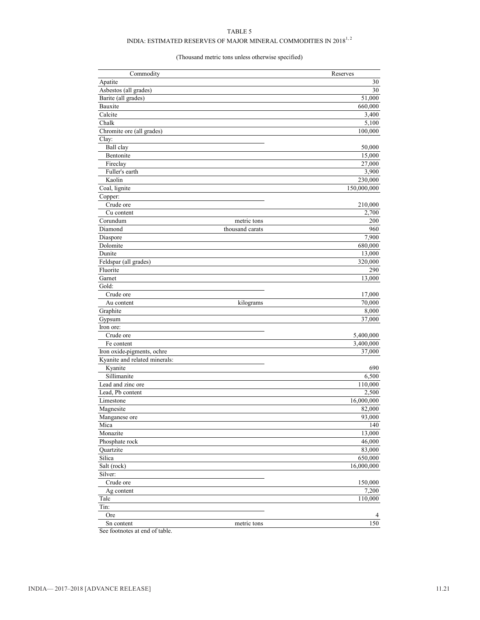#### TABLE 5

### INDIA: ESTIMATED RESERVES OF MAJOR MINERAL COMMODITIES IN  $2018^{1,\,2}$

#### (Thousand metric tons unless otherwise specified)

| Commodity                     |                 | Reserves    |
|-------------------------------|-----------------|-------------|
| Apatite                       |                 | 30          |
| Asbestos (all grades)         |                 | 30          |
| Barite (all grades)           |                 | 51,000      |
| Bauxite                       |                 | 660,000     |
| Calcite                       |                 | 3,400       |
| Chalk                         |                 | 5,100       |
| Chromite ore (all grades)     |                 | 100,000     |
| Clay:                         |                 |             |
| Ball clay                     |                 | 50,000      |
| Bentonite                     |                 | 15,000      |
| Fireclay                      |                 | 27,000      |
| Fuller's earth                |                 | 3,900       |
| Kaolin                        |                 | 230,000     |
| Coal, lignite                 |                 | 150,000,000 |
| Copper:                       |                 |             |
| Crude ore                     |                 | 210,000     |
| Cu content                    |                 | 2,700       |
| Corundum                      | metric tons     | 200         |
| Diamond                       | thousand carats | 960         |
| Diaspore                      |                 | 7,900       |
| Dolomite                      |                 | 680,000     |
| Dunite                        |                 | 13,000      |
| Feldspar (all grades)         |                 | 320,000     |
| Fluorite                      |                 | 290         |
| Garnet                        |                 | 13,000      |
| Gold:                         |                 |             |
| Crude ore                     |                 | 17,000      |
| Au content                    | kilograms       | 70,000      |
| Graphite                      |                 | 8,000       |
| Gypsum                        |                 | 37,000      |
| Iron ore:                     |                 |             |
| Crude ore                     |                 | 5,400,000   |
| Fe content                    |                 | 3,400,000   |
| Iron oxide-pigments, ochre    |                 | 37,000      |
| Kyanite and related minerals: |                 |             |
| Kyanite                       |                 | 690         |
| Sillimanite                   |                 | 6,500       |
| Lead and zinc ore             |                 | 110,000     |
| Lead. Pb content              |                 | 2,500       |
| Limestone                     |                 | 16,000,000  |
| Magnesite                     |                 | 82,000      |
| Manganese ore                 |                 | 93,000      |
| Mica                          |                 | 140         |
| Monazite                      |                 | 13,000      |
| Phosphate rock                |                 | 46,000      |
| Quartzite                     |                 | 83,000      |
| Silica                        |                 | 650,000     |
| Salt (rock)                   |                 | 16,000,000  |
| Silver:                       |                 |             |
| Crude ore                     |                 | 150,000     |
| Ag content                    |                 | 7,200       |
| Talc                          |                 | 110,000     |
| Tin:                          |                 |             |
| Ore                           |                 |             |
| Sn content                    | metric tons     | 150         |
|                               |                 |             |